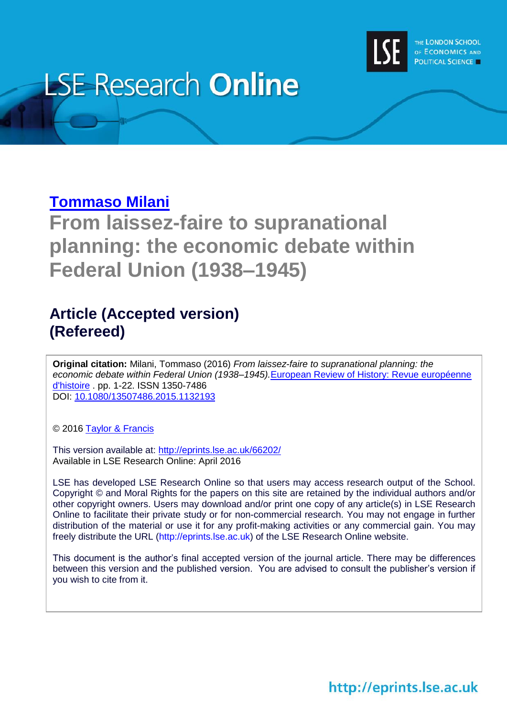

# **LSE Research Online**

### **[Tommaso Milani](http://inform.academia.edu/TommasoMilani)**

**From laissez-faire to supranational planning: the economic debate within Federal Union (1938–1945)**

## **Article (Accepted version) (Refereed)**

**Original citation:** Milani, Tommaso (2016) *From laissez-faire to supranational planning: the economic debate within Federal Union (1938–1945).*[European Review of History: Revue européenne](http://www.tandfonline.com/loi/cerh20#.VxnyeEwrLGg)  [d'histoire](http://www.tandfonline.com/loi/cerh20#.VxnyeEwrLGg) . pp. 1-22. ISSN 1350-7486 DOI: [10.1080/13507486.2015.1132193](http://dx.doi.org/10.1080/13507486.2015.1132193)

© 2016 [Taylor & Francis](http://www.tandfonline.com/loi/cerh20)

This version available at:<http://eprints.lse.ac.uk/66202/> Available in LSE Research Online: April 2016

LSE has developed LSE Research Online so that users may access research output of the School. Copyright © and Moral Rights for the papers on this site are retained by the individual authors and/or other copyright owners. Users may download and/or print one copy of any article(s) in LSE Research Online to facilitate their private study or for non-commercial research. You may not engage in further distribution of the material or use it for any profit-making activities or any commercial gain. You may freely distribute the URL (http://eprints.lse.ac.uk) of the LSE Research Online website.

This document is the author's final accepted version of the journal article. There may be differences between this version and the published version. You are advised to consult the publisher's version if you wish to cite from it.

http://eprints.lse.ac.uk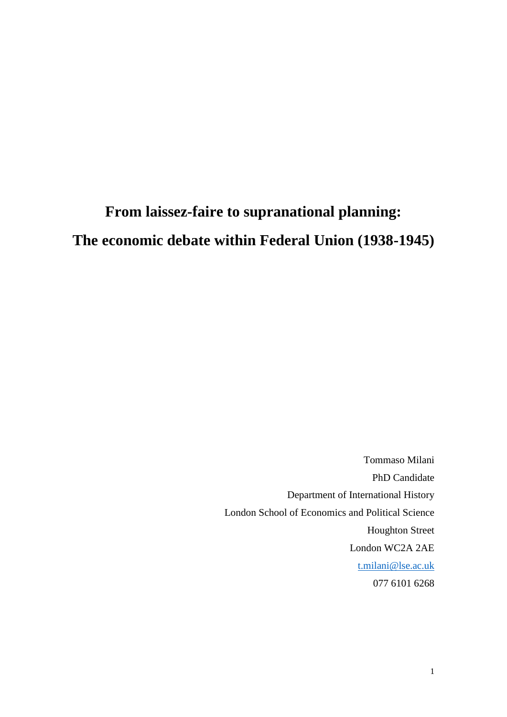## **From laissez-faire to supranational planning: The economic debate within Federal Union (1938-1945)**

Tommaso Milani PhD Candidate Department of International History London School of Economics and Political Science Houghton Street London WC2A 2AE [t.milani@lse.ac.uk](mailto:t.milani@lse.ac.uk) 077 6101 6268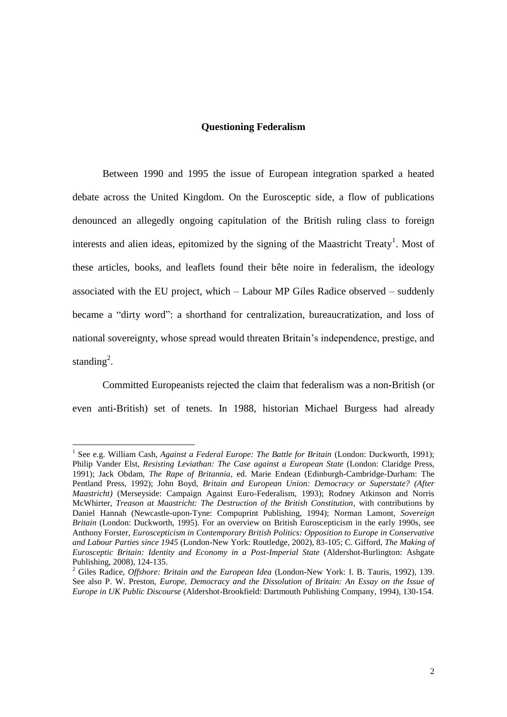#### **Questioning Federalism**

Between 1990 and 1995 the issue of European integration sparked a heated debate across the United Kingdom. On the Eurosceptic side, a flow of publications denounced an allegedly ongoing capitulation of the British ruling class to foreign interests and alien ideas, epitomized by the signing of the Maastricht Treaty<sup>1</sup>. Most of these articles, books, and leaflets found their bête noire in federalism, the ideology associated with the EU project, which – Labour MP Giles Radice observed – suddenly became a "dirty word": a shorthand for centralization, bureaucratization, and loss of national sovereignty, whose spread would threaten Britain's independence, prestige, and standing<sup>2</sup>.

Committed Europeanists rejected the claim that federalism was a non-British (or even anti-British) set of tenets. In 1988, historian Michael Burgess had already

<sup>&</sup>lt;sup>1</sup> See e.g. William Cash, *Against a Federal Europe: The Battle for Britain* (London: Duckworth, 1991); Philip Vander Elst, *Resisting Leviathan: The Case against a European State* (London: Claridge Press, 1991); Jack Obdam, *The Rape of Britannia*, ed. Marie Endean (Edinburgh-Cambridge-Durham: The Pentland Press, 1992); John Boyd, *Britain and European Union: Democracy or Superstate? (After Maastricht)* (Merseyside: Campaign Against Euro-Federalism, 1993); Rodney Atkinson and Norris McWhirter, *Treason at Maastricht: The Destruction of the British Constitution*, with contributions by Daniel Hannah (Newcastle-upon-Tyne: Compuprint Publishing, 1994); Norman Lamont, *Sovereign Britain* (London: Duckworth, 1995). For an overview on British Euroscepticism in the early 1990s, see Anthony Forster, *Euroscepticism in Contemporary British Politics: Opposition to Europe in Conservative and Labour Parties since 1945* (London-New York: Routledge, 2002), 83-105; C. Gifford, *The Making of Eurosceptic Britain: Identity and Economy in a Post-Imperial State* (Aldershot-Burlington: Ashgate Publishing, 2008), 124-135.

<sup>2</sup> Giles Radice, *Offshore: Britain and the European Idea* (London-New York: I. B. Tauris, 1992), 139. See also P. W. Preston, *Europe, Democracy and the Dissolution of Britain: An Essay on the Issue of Europe in UK Public Discourse* (Aldershot-Brookfield: Dartmouth Publishing Company, 1994), 130-154.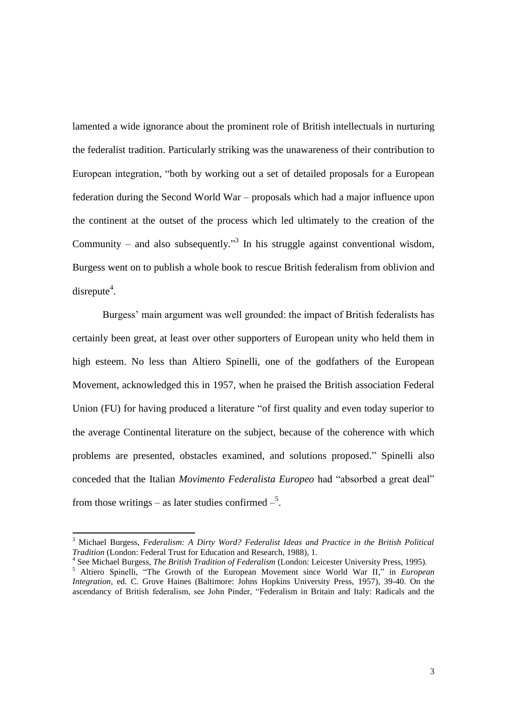lamented a wide ignorance about the prominent role of British intellectuals in nurturing the federalist tradition. Particularly striking was the unawareness of their contribution to European integration, "both by working out a set of detailed proposals for a European federation during the Second World War – proposals which had a major influence upon the continent at the outset of the process which led ultimately to the creation of the Community – and also subsequently.<sup>33</sup> In his struggle against conventional wisdom, Burgess went on to publish a whole book to rescue British federalism from oblivion and  $disrepute<sup>4</sup>$ .

Burgess' main argument was well grounded: the impact of British federalists has certainly been great, at least over other supporters of European unity who held them in high esteem. No less than Altiero Spinelli, one of the godfathers of the European Movement, acknowledged this in 1957, when he praised the British association Federal Union (FU) for having produced a literature "of first quality and even today superior to the average Continental literature on the subject, because of the coherence with which problems are presented, obstacles examined, and solutions proposed." Spinelli also conceded that the Italian *Movimento Federalista Europeo* had "absorbed a great deal" from those writings – as later studies confirmed  $-\frac{5}{3}$ .

<sup>3</sup> Michael Burgess, *Federalism: A Dirty Word? Federalist Ideas and Practice in the British Political Tradition* (London: Federal Trust for Education and Research, 1988), 1.

<sup>4</sup> See Michael Burgess, *The British Tradition of Federalism* (London: Leicester University Press, 1995).

<sup>5</sup> Altiero Spinelli, "The Growth of the European Movement since World War II," in *European Integration*, ed. C. Grove Haines (Baltimore: Johns Hopkins University Press, 1957), 39-40. On the ascendancy of British federalism, see John Pinder, "Federalism in Britain and Italy: Radicals and the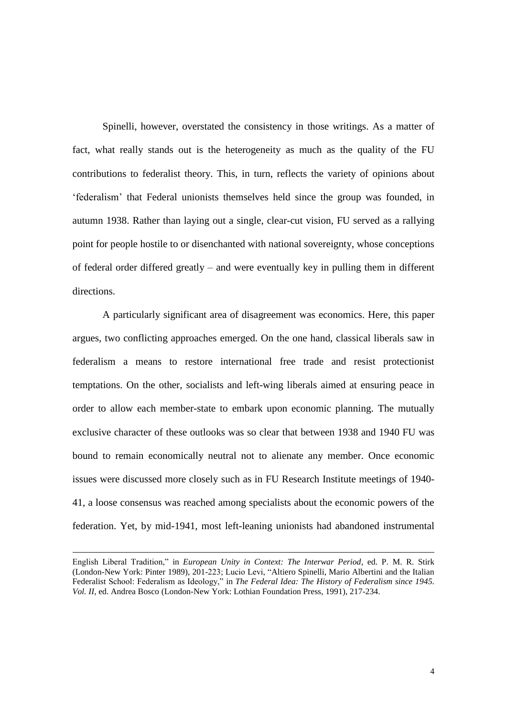Spinelli, however, overstated the consistency in those writings. As a matter of fact, what really stands out is the heterogeneity as much as the quality of the FU contributions to federalist theory. This, in turn, reflects the variety of opinions about 'federalism' that Federal unionists themselves held since the group was founded, in autumn 1938. Rather than laying out a single, clear-cut vision, FU served as a rallying point for people hostile to or disenchanted with national sovereignty, whose conceptions of federal order differed greatly – and were eventually key in pulling them in different directions.

A particularly significant area of disagreement was economics. Here, this paper argues, two conflicting approaches emerged. On the one hand, classical liberals saw in federalism a means to restore international free trade and resist protectionist temptations. On the other, socialists and left-wing liberals aimed at ensuring peace in order to allow each member-state to embark upon economic planning. The mutually exclusive character of these outlooks was so clear that between 1938 and 1940 FU was bound to remain economically neutral not to alienate any member. Once economic issues were discussed more closely such as in FU Research Institute meetings of 1940- 41, a loose consensus was reached among specialists about the economic powers of the federation. Yet, by mid-1941, most left-leaning unionists had abandoned instrumental

English Liberal Tradition," in *European Unity in Context: The Interwar Period*, ed. P. M. R. Stirk (London-New York: Pinter 1989), 201-223; Lucio Levi, "Altiero Spinelli, Mario Albertini and the Italian Federalist School: Federalism as Ideology," in *The Federal Idea: The History of Federalism since 1945. Vol. II*, ed. Andrea Bosco (London-New York: Lothian Foundation Press, 1991), 217-234.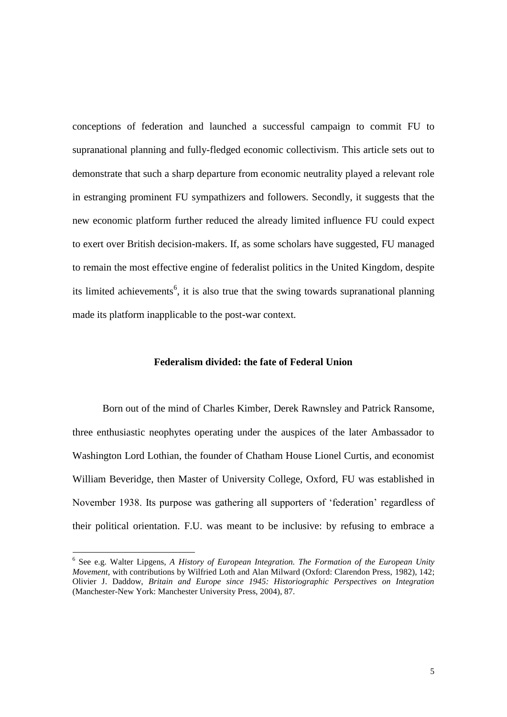conceptions of federation and launched a successful campaign to commit FU to supranational planning and fully-fledged economic collectivism. This article sets out to demonstrate that such a sharp departure from economic neutrality played a relevant role in estranging prominent FU sympathizers and followers. Secondly, it suggests that the new economic platform further reduced the already limited influence FU could expect to exert over British decision-makers. If, as some scholars have suggested, FU managed to remain the most effective engine of federalist politics in the United Kingdom, despite its limited achievements<sup>6</sup>, it is also true that the swing towards supranational planning made its platform inapplicable to the post-war context.

#### **Federalism divided: the fate of Federal Union**

Born out of the mind of Charles Kimber, Derek Rawnsley and Patrick Ransome, three enthusiastic neophytes operating under the auspices of the later Ambassador to Washington Lord Lothian, the founder of Chatham House Lionel Curtis, and economist William Beveridge, then Master of University College, Oxford, FU was established in November 1938. Its purpose was gathering all supporters of 'federation' regardless of their political orientation. F.U. was meant to be inclusive: by refusing to embrace a

<sup>&</sup>lt;sup>6</sup> See e.g. Walter Lipgens, *A History of European Integration. The Formation of the European Unity Movement*, with contributions by Wilfried Loth and Alan Milward (Oxford: Clarendon Press, 1982), 142; Olivier J. Daddow, *Britain and Europe since 1945: Historiographic Perspectives on Integration* (Manchester-New York: Manchester University Press, 2004), 87.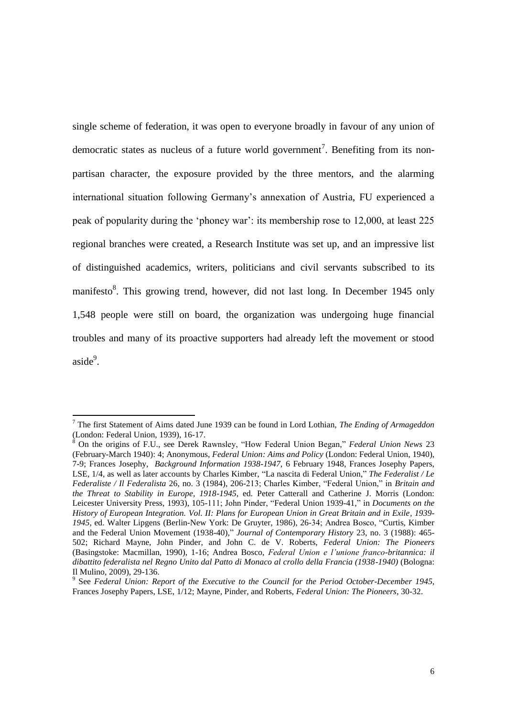single scheme of federation, it was open to everyone broadly in favour of any union of democratic states as nucleus of a future world government<sup>7</sup>. Benefiting from its nonpartisan character, the exposure provided by the three mentors, and the alarming international situation following Germany's annexation of Austria, FU experienced a peak of popularity during the 'phoney war': its membership rose to 12,000, at least 225 regional branches were created, a Research Institute was set up, and an impressive list of distinguished academics, writers, politicians and civil servants subscribed to its manifesto<sup>8</sup>. This growing trend, however, did not last long. In December 1945 only 1,548 people were still on board, the organization was undergoing huge financial troubles and many of its proactive supporters had already left the movement or stood aside<sup>9</sup>.

<sup>7</sup> The first Statement of Aims dated June 1939 can be found in Lord Lothian, *The Ending of Armageddon*  (London: Federal Union, 1939), 16-17.

<sup>8</sup> On the origins of F.U., see Derek Rawnsley, "How Federal Union Began," *Federal Union News* 23 (February-March 1940): 4; Anonymous, *Federal Union: Aims and Policy* (London: Federal Union, 1940), 7-9; Frances Josephy, *Background Information 1938-1947*, 6 February 1948, Frances Josephy Papers, LSE, 1/4, as well as later accounts by Charles Kimber, "La nascita di Federal Union," *The Federalist / Le Federaliste / Il Federalista* 26, no. 3 (1984), 206-213; Charles Kimber, "Federal Union," in *Britain and the Threat to Stability in Europe, 1918-1945*, ed. Peter Catterall and Catherine J. Morris (London: Leicester University Press, 1993), 105-111; John Pinder, "Federal Union 1939-41," in *Documents on the History of European Integration. Vol. II: Plans for European Union in Great Britain and in Exile, 1939- 1945*, ed. Walter Lipgens (Berlin-New York: De Gruyter, 1986), 26-34; Andrea Bosco, "Curtis, Kimber and the Federal Union Movement (1938-40)," *Journal of Contemporary History* 23, no. 3 (1988): 465- 502; Richard Mayne, John Pinder, and John C. de V. Roberts, *Federal Union: The Pioneers*  (Basingstoke: Macmillan, 1990), 1-16; Andrea Bosco, *Federal Union e l'unione franco-britannica: il dibattito federalista nel Regno Unito dal Patto di Monaco al crollo della Francia (1938-1940)* (Bologna: Il Mulino, 2009), 29-136.

<sup>9</sup> See *Federal Union: Report of the Executive to the Council for the Period October-December 1945*, Frances Josephy Papers, LSE, 1/12; Mayne, Pinder, and Roberts, *Federal Union: The Pioneers*, 30-32.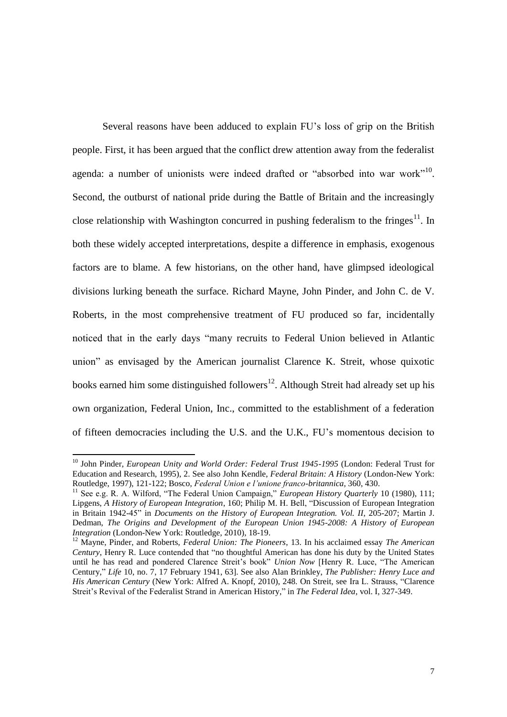Several reasons have been adduced to explain FU's loss of grip on the British people. First, it has been argued that the conflict drew attention away from the federalist agenda: a number of unionists were indeed drafted or "absorbed into war work"<sup>10</sup>. Second, the outburst of national pride during the Battle of Britain and the increasingly close relationship with Washington concurred in pushing federalism to the fringes $^{11}$ . In both these widely accepted interpretations, despite a difference in emphasis, exogenous factors are to blame. A few historians, on the other hand, have glimpsed ideological divisions lurking beneath the surface. Richard Mayne, John Pinder, and John C. de V. Roberts, in the most comprehensive treatment of FU produced so far, incidentally noticed that in the early days "many recruits to Federal Union believed in Atlantic union" as envisaged by the American journalist Clarence K. Streit, whose quixotic books earned him some distinguished followers<sup>12</sup>. Although Streit had already set up his own organization, Federal Union, Inc., committed to the establishment of a federation of fifteen democracies including the U.S. and the U.K., FU's momentous decision to

<sup>&</sup>lt;sup>10</sup> John Pinder, *European Unity and World Order: Federal Trust 1945-1995* (London: Federal Trust for Education and Research, 1995), 2. See also John Kendle, *Federal Britain: A History* (London-New York: Routledge, 1997), 121-122; Bosco, *Federal Union e l'unione franco-britannica*, 360, 430.

<sup>&</sup>lt;sup>11</sup> See e.g. R. A. Wilford, "The Federal Union Campaign," *European History Quarterly* 10 (1980), 111; Lipgens, *A History of European Integration*, 160; Philip M. H. Bell, "Discussion of European Integration in Britain 1942-45" in *Documents on the History of European Integration. Vol. II*, 205-207; Martin J. Dedman, *The Origins and Development of the European Union 1945-2008: A History of European Integration* (London-New York: Routledge, 2010), 18-19.

<sup>12</sup> Mayne, Pinder, and Roberts, *Federal Union: The Pioneers*, 13. In his acclaimed essay *The American Century*, Henry R. Luce contended that "no thoughtful American has done his duty by the United States until he has read and pondered Clarence Streit's book" *Union Now* [Henry R. Luce, "The American Century," *Life* 10, no. 7, 17 February 1941, 63]. See also Alan Brinkley, *The Publisher: Henry Luce and His American Century* (New York: Alfred A. Knopf, 2010), 248. On Streit, see Ira L. Strauss, "Clarence Streit's Revival of the Federalist Strand in American History," in *The Federal Idea*, vol. I, 327-349.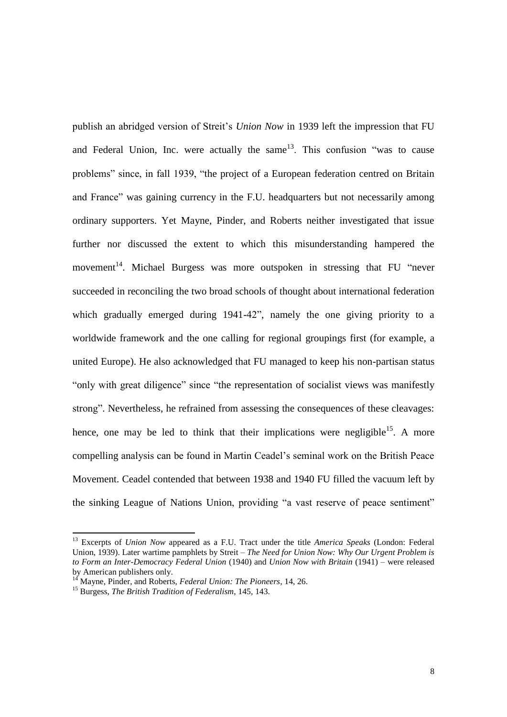publish an abridged version of Streit's *Union Now* in 1939 left the impression that FU and Federal Union, Inc. were actually the same  $13$ . This confusion "was to cause problems" since, in fall 1939, "the project of a European federation centred on Britain and France" was gaining currency in the F.U. headquarters but not necessarily among ordinary supporters. Yet Mayne, Pinder, and Roberts neither investigated that issue further nor discussed the extent to which this misunderstanding hampered the movement<sup>14</sup>. Michael Burgess was more outspoken in stressing that FU "never succeeded in reconciling the two broad schools of thought about international federation which gradually emerged during 1941-42", namely the one giving priority to a worldwide framework and the one calling for regional groupings first (for example, a united Europe). He also acknowledged that FU managed to keep his non-partisan status "only with great diligence" since "the representation of socialist views was manifestly strong". Nevertheless, he refrained from assessing the consequences of these cleavages: hence, one may be led to think that their implications were negligible<sup>15</sup>. A more compelling analysis can be found in Martin Ceadel's seminal work on the British Peace Movement. Ceadel contended that between 1938 and 1940 FU filled the vacuum left by the sinking League of Nations Union, providing "a vast reserve of peace sentiment"

<sup>13</sup> Excerpts of *Union Now* appeared as a F.U. Tract under the title *America Speaks* (London: Federal Union, 1939). Later wartime pamphlets by Streit – *The Need for Union Now: Why Our Urgent Problem is to Form an Inter-Democracy Federal Union* (1940) and *Union Now with Britain* (1941) – were released by American publishers only.

<sup>14</sup> Mayne, Pinder, and Roberts, *Federal Union: The Pioneers*, 14, 26.

<sup>15</sup> Burgess, *The British Tradition of Federalism*, 145, 143.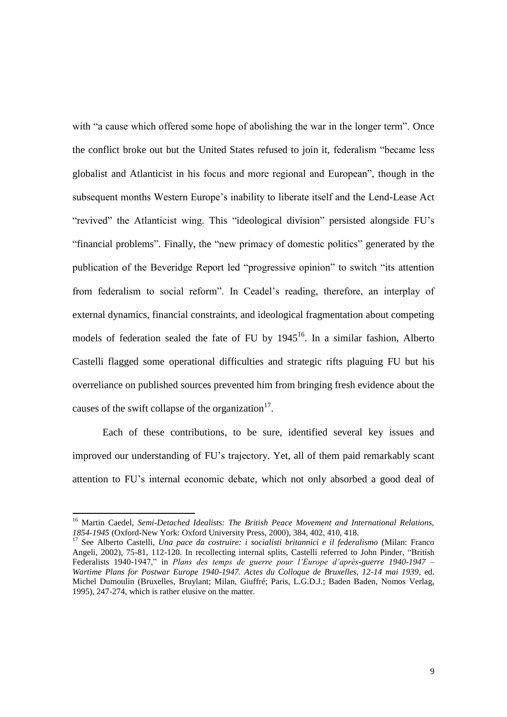with "a cause which offered some hope of abolishing the war in the longer term". Once the conflict broke out but the United States refused to join it, federalism "became less globalist and Atlanticist in his focus and more regional and European", though in the subsequent months Western Europe's inability to liberate itself and the Lend-Lease Act "revived" the Atlanticist wing. This "ideological division" persisted alongside FU's "financial problems". Finally, the "new primacy of domestic politics" generated by the publication of the Beveridge Report led "progressive opinion" to switch "its attention from federalism to social reform". In Ceadel's reading, therefore, an interplay of external dynamics, financial constraints, and ideological fragmentation about competing models of federation sealed the fate of FU by  $1945^{16}$ . In a similar fashion, Alberto Castelli flagged some operational difficulties and strategic rifts plaguing FU but his overreliance on published sources prevented him from bringing fresh evidence about the causes of the swift collapse of the organization<sup>17</sup>.

Each of these contributions, to be sure, identified several key issues and improved our understanding of FU's trajectory. Yet, all of them paid remarkably scant attention to FU's internal economic debate, which not only absorbed a good deal of

<sup>&</sup>lt;sup>16</sup> Martin Caedel, *Semi-Detached Idealists: The British Peace Movement and International Relations, 1854-1945* (Oxford-New York: Oxford University Press, 2000), 384, 402, 410, 418.

<sup>&</sup>lt;sup>17</sup> See Alberto Castelli, *Una pace da costruire: i socialisti britannici e il federalismo* (Milan: Franco Angeli, 2002), 75-81, 112-120. In recollecting internal splits, Castelli referred to John Pinder, "British Federalists 1940-1947," in *Plans des temps de guerre pour l'Europe d'après-guerre 1940-1947 – Wartime Plans for Postwar Europe 1940-1947. Actes du Colloque de Bruxelles, 12-14 mai 1939*, ed. Michel Dumoulin (Bruxelles, Bruylant; Milan, Giuffré; Paris, L.G.D.J.; Baden Baden, Nomos Verlag, 1995), 247-274, which is rather elusive on the matter.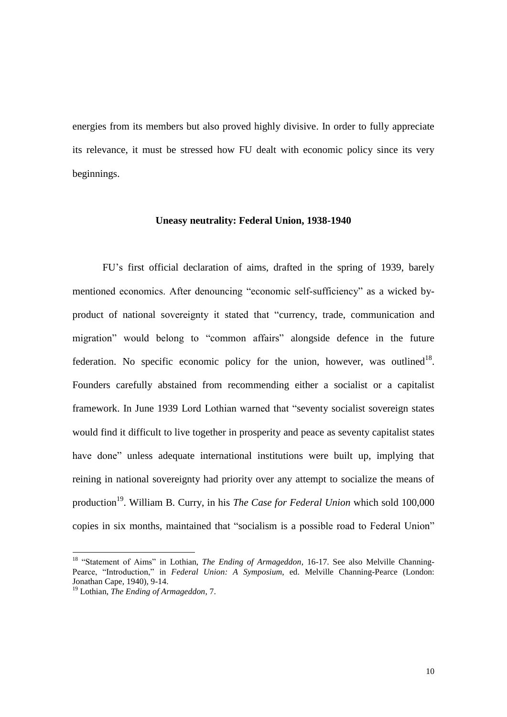energies from its members but also proved highly divisive. In order to fully appreciate its relevance, it must be stressed how FU dealt with economic policy since its very beginnings.

#### **Uneasy neutrality: Federal Union, 1938-1940**

FU's first official declaration of aims, drafted in the spring of 1939, barely mentioned economics. After denouncing "economic self-sufficiency" as a wicked byproduct of national sovereignty it stated that "currency, trade, communication and migration" would belong to "common affairs" alongside defence in the future federation. No specific economic policy for the union, however, was outlined<sup>18</sup>. Founders carefully abstained from recommending either a socialist or a capitalist framework. In June 1939 Lord Lothian warned that "seventy socialist sovereign states would find it difficult to live together in prosperity and peace as seventy capitalist states have done" unless adequate international institutions were built up, implying that reining in national sovereignty had priority over any attempt to socialize the means of production<sup>19</sup>. William B. Curry, in his *The Case for Federal Union* which sold 100,000 copies in six months, maintained that "socialism is a possible road to Federal Union"

<sup>&</sup>lt;sup>18</sup> "Statement of Aims" in Lothian, *The Ending of Armageddon*, 16-17. See also Melville Channing-Pearce, "Introduction," in *Federal Union: A Symposium*, ed. Melville Channing-Pearce (London: Jonathan Cape, 1940), 9-14.

<sup>19</sup> Lothian, *The Ending of Armageddon*, 7.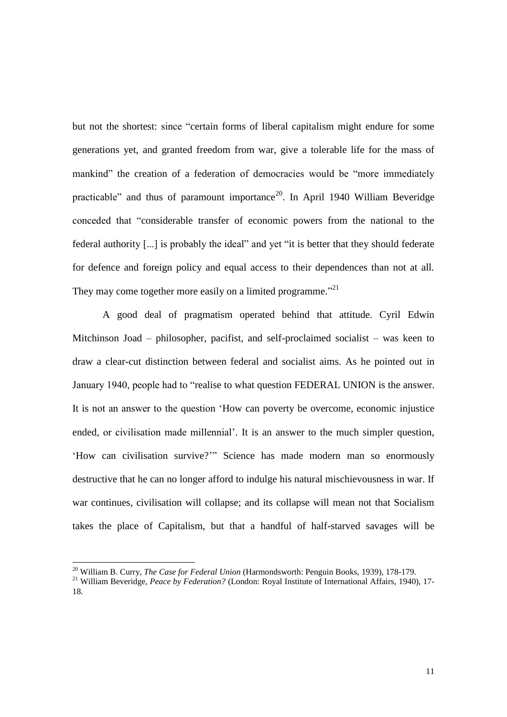but not the shortest: since "certain forms of liberal capitalism might endure for some generations yet, and granted freedom from war, give a tolerable life for the mass of mankind" the creation of a federation of democracies would be "more immediately practicable" and thus of paramount importance<sup>20</sup>. In April 1940 William Beveridge conceded that "considerable transfer of economic powers from the national to the federal authority [...] is probably the ideal" and yet "it is better that they should federate for defence and foreign policy and equal access to their dependences than not at all. They may come together more easily on a limited programme."<sup>21</sup>

A good deal of pragmatism operated behind that attitude. Cyril Edwin Mitchinson Joad – philosopher, pacifist, and self-proclaimed socialist – was keen to draw a clear-cut distinction between federal and socialist aims. As he pointed out in January 1940, people had to "realise to what question FEDERAL UNION is the answer. It is not an answer to the question 'How can poverty be overcome, economic injustice ended, or civilisation made millennial'. It is an answer to the much simpler question, 'How can civilisation survive?'" Science has made modern man so enormously destructive that he can no longer afford to indulge his natural mischievousness in war. If war continues, civilisation will collapse; and its collapse will mean not that Socialism takes the place of Capitalism, but that a handful of half-starved savages will be

<sup>20</sup> William B. Curry, *The Case for Federal Union* (Harmondsworth: Penguin Books, 1939), 178-179.

<sup>&</sup>lt;sup>21</sup> William Beveridge, *Peace by Federation?* (London: Royal Institute of International Affairs, 1940), 17-18.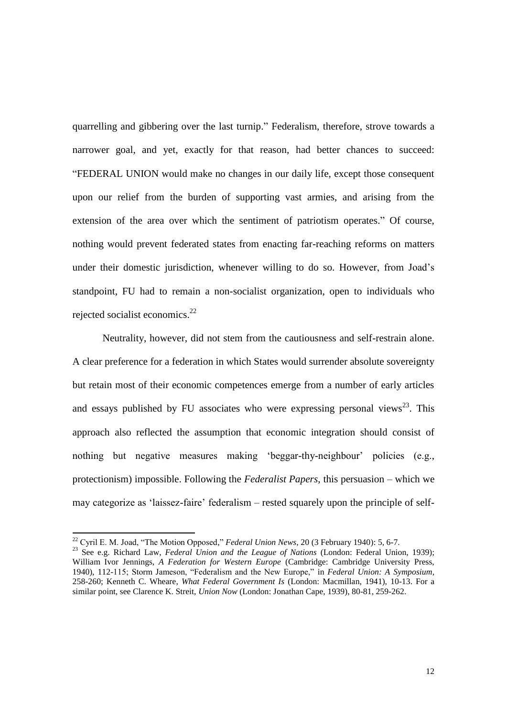quarrelling and gibbering over the last turnip." Federalism, therefore, strove towards a narrower goal, and yet, exactly for that reason, had better chances to succeed: "FEDERAL UNION would make no changes in our daily life, except those consequent upon our relief from the burden of supporting vast armies, and arising from the extension of the area over which the sentiment of patriotism operates." Of course, nothing would prevent federated states from enacting far-reaching reforms on matters under their domestic jurisdiction, whenever willing to do so. However, from Joad's standpoint, FU had to remain a non-socialist organization, open to individuals who rejected socialist economics.<sup>22</sup>

Neutrality, however, did not stem from the cautiousness and self-restrain alone. A clear preference for a federation in which States would surrender absolute sovereignty but retain most of their economic competences emerge from a number of early articles and essays published by FU associates who were expressing personal views<sup>23</sup>. This approach also reflected the assumption that economic integration should consist of nothing but negative measures making 'beggar-thy-neighbour' policies (e.g., protectionism) impossible. Following the *Federalist Papers*, this persuasion – which we may categorize as 'laissez-faire' federalism – rested squarely upon the principle of self-

<sup>22</sup> Cyril E. M. Joad, "The Motion Opposed," *Federal Union News*, 20 (3 February 1940): 5, 6-7.

<sup>23</sup> See e.g. Richard Law, *Federal Union and the League of Nations* (London: Federal Union, 1939); William Ivor Jennings, *A Federation for Western Europe* (Cambridge: Cambridge University Press, 1940), 112-115; Storm Jameson, "Federalism and the New Europe," in *Federal Union: A Symposium*, 258-260; Kenneth C. Wheare, *What Federal Government Is* (London: Macmillan, 1941), 10-13. For a similar point, see Clarence K. Streit, *Union Now* (London: Jonathan Cape, 1939), 80-81, 259-262.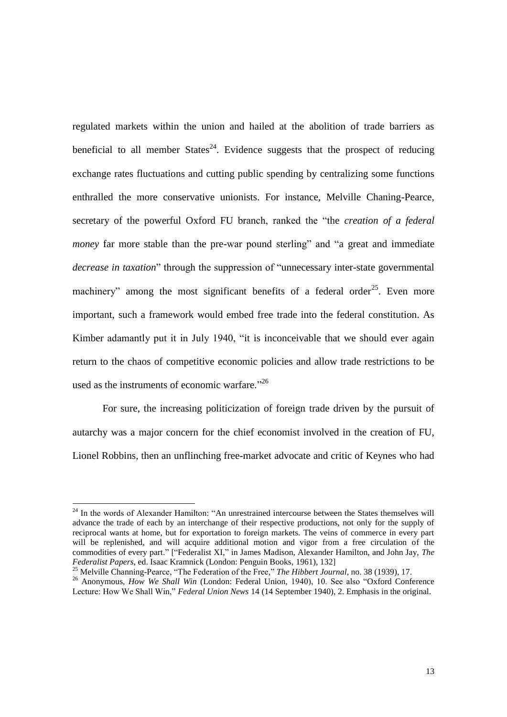regulated markets within the union and hailed at the abolition of trade barriers as beneficial to all member States<sup>24</sup>. Evidence suggests that the prospect of reducing exchange rates fluctuations and cutting public spending by centralizing some functions enthralled the more conservative unionists. For instance, Melville Chaning-Pearce, secretary of the powerful Oxford FU branch, ranked the "the *creation of a federal money* far more stable than the pre-war pound sterling" and "a great and immediate *decrease in taxation*" through the suppression of "unnecessary inter-state governmental machinery" among the most significant benefits of a federal order<sup>25</sup>. Even more important, such a framework would embed free trade into the federal constitution. As Kimber adamantly put it in July 1940, "it is inconceivable that we should ever again return to the chaos of competitive economic policies and allow trade restrictions to be used as the instruments of economic warfare."<sup>26</sup>

For sure, the increasing politicization of foreign trade driven by the pursuit of autarchy was a major concern for the chief economist involved in the creation of FU, Lionel Robbins, then an unflinching free-market advocate and critic of Keynes who had

<sup>&</sup>lt;sup>24</sup> In the words of Alexander Hamilton: "An unrestrained intercourse between the States themselves will advance the trade of each by an interchange of their respective productions, not only for the supply of reciprocal wants at home, but for exportation to foreign markets. The veins of commerce in every part will be replenished, and will acquire additional motion and vigor from a free circulation of the commodities of every part." ["Federalist XI," in James Madison, Alexander Hamilton, and John Jay, *The Federalist Papers*, ed. Isaac Kramnick (London: Penguin Books, 1961), 132]

<sup>25</sup> Melville Channing-Pearce, "The Federation of the Free," *The Hibbert Journal*, no. 38 (1939), 17.

<sup>&</sup>lt;sup>26</sup> Anonymous, *How We Shall Win* (London: Federal Union, 1940), 10. See also "Oxford Conference Lecture: How We Shall Win," *Federal Union News* 14 (14 September 1940), 2. Emphasis in the original.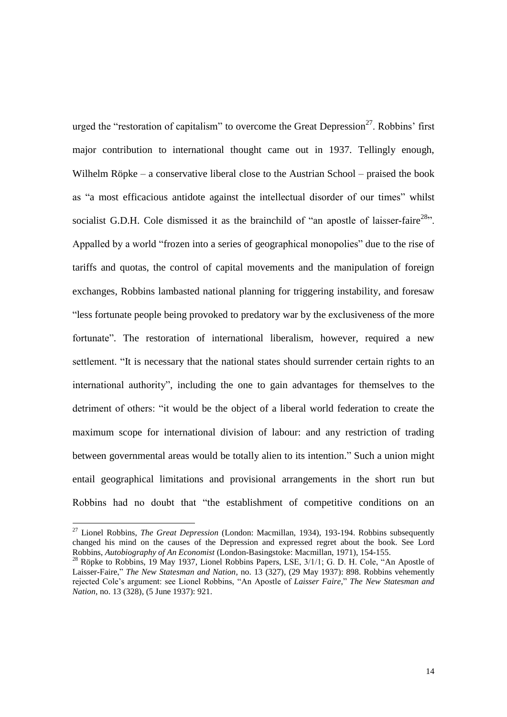urged the "restoration of capitalism" to overcome the Great Depression<sup>27</sup>. Robbins' first major contribution to international thought came out in 1937. Tellingly enough, Wilhelm Röpke – a conservative liberal close to the Austrian School – praised the book as "a most efficacious antidote against the intellectual disorder of our times" whilst socialist G.D.H. Cole dismissed it as the brainchild of "an apostle of laisser-faire<sup>28</sup>". Appalled by a world "frozen into a series of geographical monopolies" due to the rise of tariffs and quotas, the control of capital movements and the manipulation of foreign exchanges, Robbins lambasted national planning for triggering instability, and foresaw "less fortunate people being provoked to predatory war by the exclusiveness of the more fortunate". The restoration of international liberalism, however, required a new settlement. "It is necessary that the national states should surrender certain rights to an international authority", including the one to gain advantages for themselves to the detriment of others: "it would be the object of a liberal world federation to create the maximum scope for international division of labour: and any restriction of trading between governmental areas would be totally alien to its intention." Such a union might entail geographical limitations and provisional arrangements in the short run but Robbins had no doubt that "the establishment of competitive conditions on an

<sup>27</sup> Lionel Robbins, *The Great Depression* (London: Macmillan, 1934), 193-194. Robbins subsequently changed his mind on the causes of the Depression and expressed regret about the book. See Lord Robbins, *Autobiography of An Economist* (London-Basingstoke: Macmillan, 1971), 154-155.

<sup>&</sup>lt;sup>28</sup> Röpke to Robbins, 19 May 1937, Lionel Robbins Papers, LSE, 3/1/1; G. D. H. Cole, "An Apostle of Laisser-Faire," *The New Statesman and Nation*, no. 13 (327), (29 May 1937): 898. Robbins vehemently rejected Cole's argument: see Lionel Robbins, "An Apostle of *Laisser Faire*," *The New Statesman and Nation*, no. 13 (328), (5 June 1937): 921.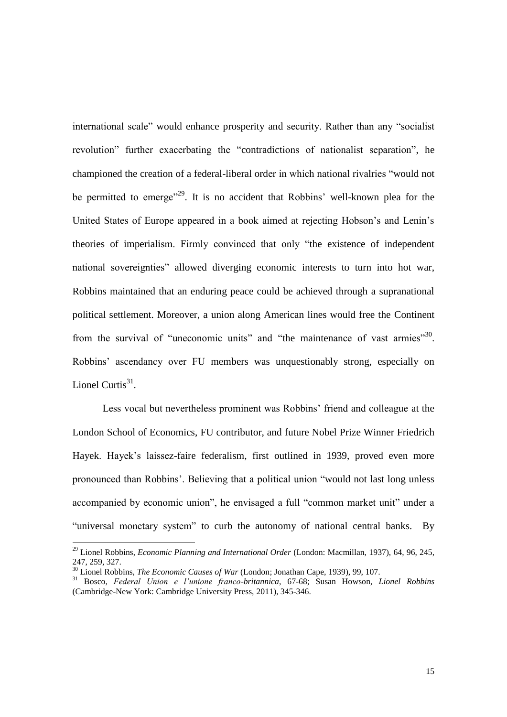international scale" would enhance prosperity and security. Rather than any "socialist revolution" further exacerbating the "contradictions of nationalist separation", he championed the creation of a federal-liberal order in which national rivalries "would not be permitted to emerge<sup> $29$ </sup>. It is no accident that Robbins' well-known plea for the United States of Europe appeared in a book aimed at rejecting Hobson's and Lenin's theories of imperialism. Firmly convinced that only "the existence of independent national sovereignties" allowed diverging economic interests to turn into hot war, Robbins maintained that an enduring peace could be achieved through a supranational political settlement. Moreover, a union along American lines would free the Continent from the survival of "uneconomic units" and "the maintenance of vast armies"<sup>30</sup>. Robbins' ascendancy over FU members was unquestionably strong, especially on Lionel Curtis $31$ .

Less vocal but nevertheless prominent was Robbins' friend and colleague at the London School of Economics, FU contributor, and future Nobel Prize Winner Friedrich Hayek. Hayek's laissez-faire federalism, first outlined in 1939, proved even more pronounced than Robbins'. Believing that a political union "would not last long unless accompanied by economic union", he envisaged a full "common market unit" under a "universal monetary system" to curb the autonomy of national central banks. By

<sup>29</sup> Lionel Robbins, *Economic Planning and International Order* (London: Macmillan, 1937), 64, 96, 245, 247, 259, 327.

<sup>30</sup> Lionel Robbins, *The Economic Causes of War* (London; Jonathan Cape, 1939), 99, 107.

<sup>31</sup> Bosco, *Federal Union e l'unione franco-britannica*, 67-68; Susan Howson, *Lionel Robbins*  (Cambridge-New York: Cambridge University Press, 2011), 345-346.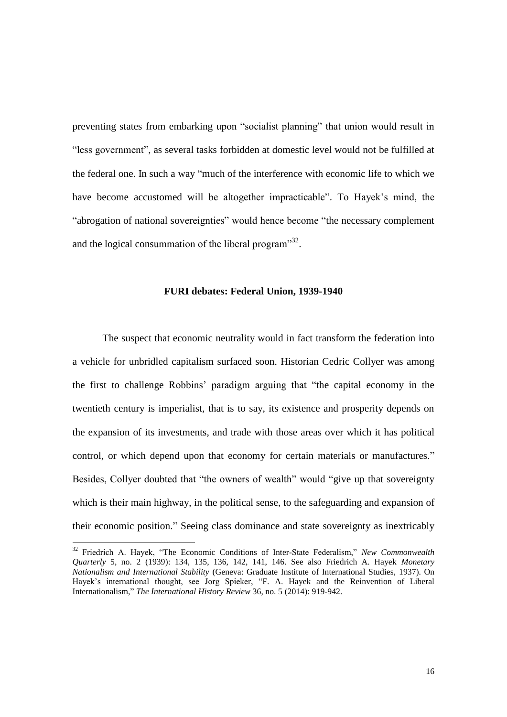preventing states from embarking upon "socialist planning" that union would result in "less government", as several tasks forbidden at domestic level would not be fulfilled at the federal one. In such a way "much of the interference with economic life to which we have become accustomed will be altogether impracticable". To Hayek's mind, the "abrogation of national sovereignties" would hence become "the necessary complement and the logical consummation of the liberal program" $^{32}$ .

#### **FURI debates: Federal Union, 1939-1940**

The suspect that economic neutrality would in fact transform the federation into a vehicle for unbridled capitalism surfaced soon. Historian Cedric Collyer was among the first to challenge Robbins' paradigm arguing that "the capital economy in the twentieth century is imperialist, that is to say, its existence and prosperity depends on the expansion of its investments, and trade with those areas over which it has political control, or which depend upon that economy for certain materials or manufactures." Besides, Collyer doubted that "the owners of wealth" would "give up that sovereignty which is their main highway, in the political sense, to the safeguarding and expansion of their economic position." Seeing class dominance and state sovereignty as inextricably

<sup>32</sup> Friedrich A. Hayek, "The Economic Conditions of Inter-State Federalism," *New Commonwealth Quarterly* 5, no. 2 (1939): 134, 135, 136, 142, 141, 146. See also Friedrich A. Hayek *Monetary Nationalism and International Stability* (Geneva: Graduate Institute of International Studies, 1937). On Hayek's international thought, see Jorg Spieker, "F. A. Hayek and the Reinvention of Liberal Internationalism," *The International History Review* 36, no. 5 (2014): 919-942.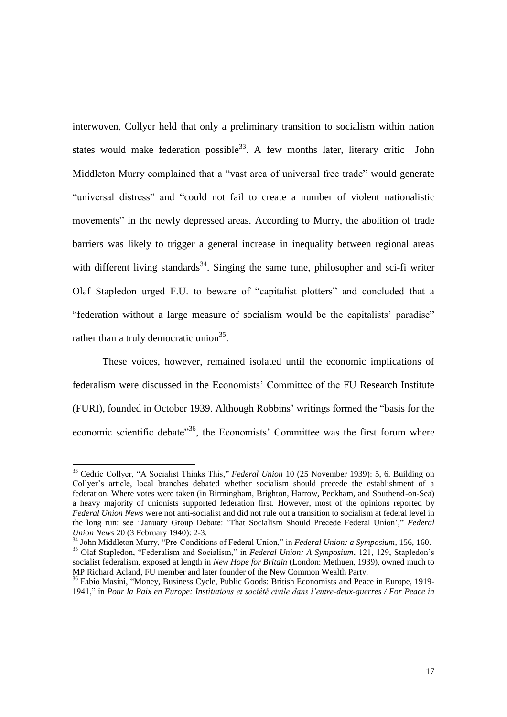interwoven, Collyer held that only a preliminary transition to socialism within nation states would make federation possible  $33$ . A few months later, literary critic John Middleton Murry complained that a "vast area of universal free trade" would generate "universal distress" and "could not fail to create a number of violent nationalistic movements" in the newly depressed areas. According to Murry, the abolition of trade barriers was likely to trigger a general increase in inequality between regional areas with different living standards<sup>34</sup>. Singing the same tune, philosopher and sci-fi writer Olaf Stapledon urged F.U. to beware of "capitalist plotters" and concluded that a "federation without a large measure of socialism would be the capitalists' paradise" rather than a truly democratic union<sup>35</sup>.

These voices, however, remained isolated until the economic implications of federalism were discussed in the Economists' Committee of the FU Research Institute (FURI), founded in October 1939. Although Robbins' writings formed the "basis for the economic scientific debate<sup>356</sup>, the Economists' Committee was the first forum where

<sup>33</sup> Cedric Collyer, "A Socialist Thinks This," *Federal Union* 10 (25 November 1939): 5, 6. Building on Collyer's article, local branches debated whether socialism should precede the establishment of a federation. Where votes were taken (in Birmingham, Brighton, Harrow, Peckham, and Southend-on-Sea) a heavy majority of unionists supported federation first. However, most of the opinions reported by *Federal Union News* were not anti-socialist and did not rule out a transition to socialism at federal level in the long run: see "January Group Debate: 'That Socialism Should Precede Federal Union'," *Federal Union News* 20 (3 February 1940): 2-3.

<sup>34</sup> John Middleton Murry, "Pre-Conditions of Federal Union," in *Federal Union: a Symposium*, 156, 160. <sup>35</sup> Olaf Stapledon, "Federalism and Socialism," in *Federal Union: A Symposium*, 121, 129, Stapledon's socialist federalism, exposed at length in *New Hope for Britain* (London: Methuen, 1939), owned much to MP Richard Acland, FU member and later founder of the New Common Wealth Party.

<sup>&</sup>lt;sup>36</sup> Fabio Masini, "Money, Business Cycle, Public Goods: British Economists and Peace in Europe, 1919-1941," in *Pour la Paix en Europe: Institutions et société civile dans l'entre-deux-guerres / For Peace in*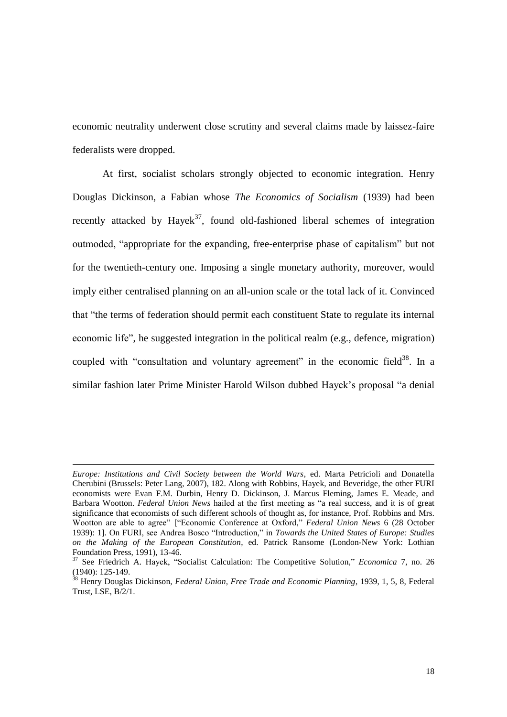economic neutrality underwent close scrutiny and several claims made by laissez-faire federalists were dropped.

At first, socialist scholars strongly objected to economic integration. Henry Douglas Dickinson, a Fabian whose *The Economics of Socialism* (1939) had been recently attacked by Hayek<sup>37</sup>, found old-fashioned liberal schemes of integration outmoded, "appropriate for the expanding, free-enterprise phase of capitalism" but not for the twentieth-century one. Imposing a single monetary authority, moreover, would imply either centralised planning on an all-union scale or the total lack of it. Convinced that "the terms of federation should permit each constituent State to regulate its internal economic life", he suggested integration in the political realm (e.g., defence, migration) coupled with "consultation and voluntary agreement" in the economic field $38$ . In a similar fashion later Prime Minister Harold Wilson dubbed Hayek's proposal "a denial

*Europe: Institutions and Civil Society between the World Wars*, ed. Marta Petricioli and Donatella Cherubini (Brussels: Peter Lang, 2007), 182. Along with Robbins, Hayek, and Beveridge, the other FURI economists were Evan F.M. Durbin, Henry D. Dickinson, J. Marcus Fleming, James E. Meade, and Barbara Wootton. *Federal Union News* hailed at the first meeting as "a real success, and it is of great significance that economists of such different schools of thought as, for instance, Prof. Robbins and Mrs. Wootton are able to agree" ["Economic Conference at Oxford," *Federal Union News* 6 (28 October 1939): 1]. On FURI, see Andrea Bosco "Introduction," in *Towards the United States of Europe: Studies on the Making of the European Constitution*, ed. Patrick Ransome (London-New York: Lothian Foundation Press, 1991), 13-46.

<sup>37</sup> See Friedrich A. Hayek, "Socialist Calculation: The Competitive Solution," *Economica* 7, no. 26 (1940): 125-149.

<sup>38</sup> Henry Douglas Dickinson, *Federal Union, Free Trade and Economic Planning*, 1939, 1, 5, 8, Federal Trust, LSE, B/2/1.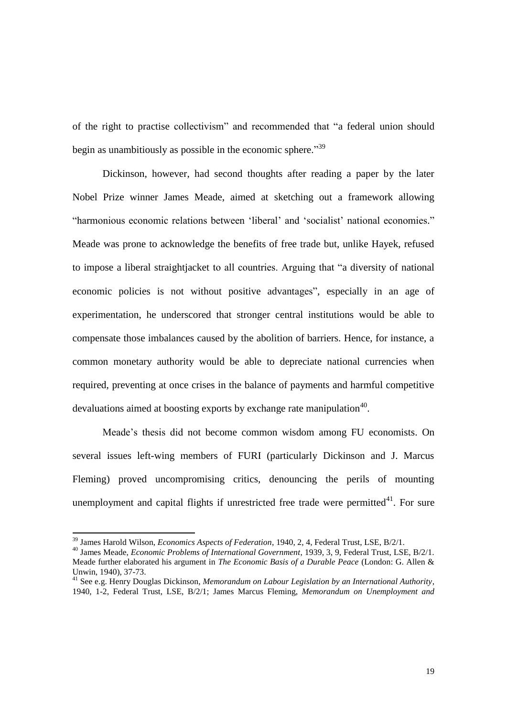of the right to practise collectivism" and recommended that "a federal union should begin as unambitiously as possible in the economic sphere."<sup>39</sup>

Dickinson, however, had second thoughts after reading a paper by the later Nobel Prize winner James Meade, aimed at sketching out a framework allowing "harmonious economic relations between 'liberal' and 'socialist' national economies." Meade was prone to acknowledge the benefits of free trade but, unlike Hayek, refused to impose a liberal straightjacket to all countries. Arguing that "a diversity of national economic policies is not without positive advantages", especially in an age of experimentation, he underscored that stronger central institutions would be able to compensate those imbalances caused by the abolition of barriers. Hence, for instance, a common monetary authority would be able to depreciate national currencies when required, preventing at once crises in the balance of payments and harmful competitive devaluations aimed at boosting exports by exchange rate manipulation<sup>40</sup>.

Meade's thesis did not become common wisdom among FU economists. On several issues left-wing members of FURI (particularly Dickinson and J. Marcus Fleming) proved uncompromising critics, denouncing the perils of mounting unemployment and capital flights if unrestricted free trade were permitted $41$ . For sure

<sup>39</sup> James Harold Wilson, *Economics Aspects of Federation*, 1940, 2, 4, Federal Trust, LSE, B/2/1.

<sup>40</sup> James Meade, *Economic Problems of International Government*, 1939, 3, 9, Federal Trust, LSE, B/2/1. Meade further elaborated his argument in *The Economic Basis of a Durable Peace* (London: G. Allen & Unwin, 1940), 37-73.

<sup>41</sup> See e.g. Henry Douglas Dickinson, *Memorandum on Labour Legislation by an International Authority*, 1940, 1-2, Federal Trust, LSE, B/2/1; James Marcus Fleming, *Memorandum on Unemployment and*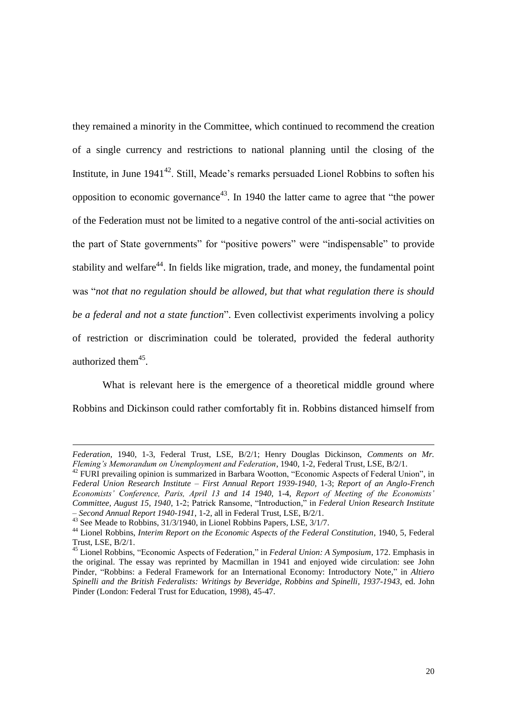they remained a minority in the Committee, which continued to recommend the creation of a single currency and restrictions to national planning until the closing of the Institute, in June  $1941^{42}$ . Still, Meade's remarks persuaded Lionel Robbins to soften his opposition to economic governance<sup>43</sup>. In 1940 the latter came to agree that "the power of the Federation must not be limited to a negative control of the anti-social activities on the part of State governments" for "positive powers" were "indispensable" to provide stability and welfare<sup>44</sup>. In fields like migration, trade, and money, the fundamental point was "*not that no regulation should be allowed, but that what regulation there is should be a federal and not a state function*". Even collectivist experiments involving a policy of restriction or discrimination could be tolerated, provided the federal authority authorized them<sup>45</sup>.

What is relevant here is the emergence of a theoretical middle ground where Robbins and Dickinson could rather comfortably fit in. Robbins distanced himself from

*Federation*, 1940, 1-3, Federal Trust, LSE, B/2/1; Henry Douglas Dickinson, *Comments on Mr. Fleming's Memorandum on Unemployment and Federation*, 1940, 1-2, Federal Trust, LSE, B/2/1.

<sup>&</sup>lt;sup>42</sup> FURI prevailing opinion is summarized in Barbara Wootton, "Economic Aspects of Federal Union", in *Federal Union Research Institute – First Annual Report 1939-1940*, 1-3; *Report of an Anglo-French Economists' Conference, Paris, April 13 and 14 1940*, 1-4, *Report of Meeting of the Economists' Committee, August 15, 1940*, 1-2; Patrick Ransome, "Introduction," in *Federal Union Research Institute – Second Annual Report 1940-1941*, 1-2, all in Federal Trust, LSE, B/2/1.

<sup>&</sup>lt;sup>43</sup> See Meade to Robbins, 31/3/1940, in Lionel Robbins Papers, LSE, 3/1/7.

<sup>44</sup> Lionel Robbins, *Interim Report on the Economic Aspects of the Federal Constitution*, 1940, 5, Federal Trust, LSE, B/2/1.

<sup>45</sup> Lionel Robbins, "Economic Aspects of Federation," in *Federal Union: A Symposium*, 172. Emphasis in the original. The essay was reprinted by Macmillan in 1941 and enjoyed wide circulation: see John Pinder, "Robbins: a Federal Framework for an International Economy: Introductory Note," in *Altiero Spinelli and the British Federalists: Writings by Beveridge, Robbins and Spinelli, 1937-1943*, ed. John Pinder (London: Federal Trust for Education, 1998), 45-47.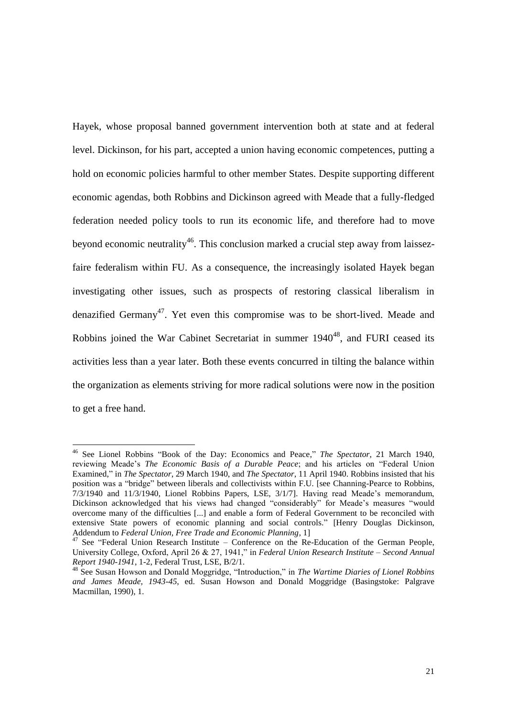Hayek, whose proposal banned government intervention both at state and at federal level. Dickinson, for his part, accepted a union having economic competences, putting a hold on economic policies harmful to other member States. Despite supporting different economic agendas, both Robbins and Dickinson agreed with Meade that a fully-fledged federation needed policy tools to run its economic life, and therefore had to move beyond economic neutrality<sup>46</sup>. This conclusion marked a crucial step away from laissezfaire federalism within FU. As a consequence, the increasingly isolated Hayek began investigating other issues, such as prospects of restoring classical liberalism in denazified Germany<sup>47</sup>. Yet even this compromise was to be short-lived. Meade and Robbins joined the War Cabinet Secretariat in summer  $1940^{48}$ , and FURI ceased its activities less than a year later. Both these events concurred in tilting the balance within the organization as elements striving for more radical solutions were now in the position to get a free hand.

<sup>46</sup> See Lionel Robbins "Book of the Day: Economics and Peace," *The Spectator*, 21 March 1940, reviewing Meade's *The Economic Basis of a Durable Peace*; and his articles on "Federal Union Examined," in *The Spectator*, 29 March 1940, and *The Spectator*, 11 April 1940. Robbins insisted that his position was a "bridge" between liberals and collectivists within F.U. [see Channing-Pearce to Robbins, 7/3/1940 and 11/3/1940, Lionel Robbins Papers, LSE, 3/1/7]. Having read Meade's memorandum, Dickinson acknowledged that his views had changed "considerably" for Meade's measures "would overcome many of the difficulties [...] and enable a form of Federal Government to be reconciled with extensive State powers of economic planning and social controls." [Henry Douglas Dickinson, Addendum to *Federal Union, Free Trade and Economic Planning*, 1]

 $47$  See "Federal Union Research Institute – Conference on the Re-Education of the German People, University College, Oxford, April 26 & 27, 1941," in *Federal Union Research Institute – Second Annual Report 1940-1941*, 1-2, Federal Trust, LSE, B/2/1.

<sup>48</sup> See Susan Howson and Donald Moggridge, "Introduction," in *The Wartime Diaries of Lionel Robbins and James Meade, 1943-45*, ed. Susan Howson and Donald Moggridge (Basingstoke: Palgrave Macmillan, 1990), 1.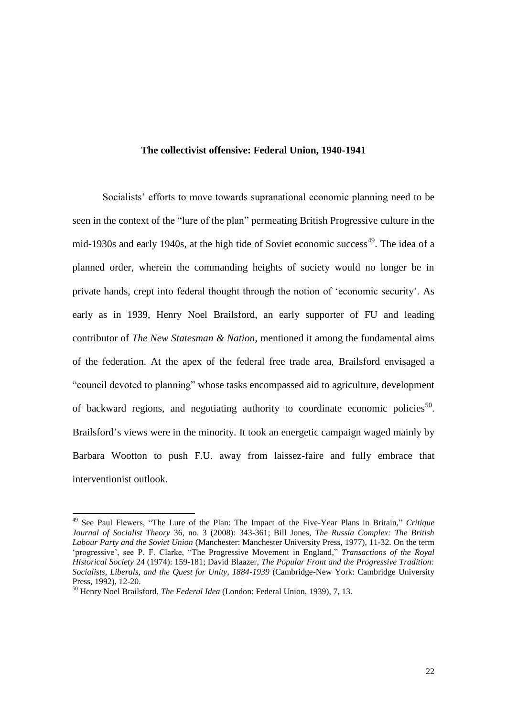#### **The collectivist offensive: Federal Union, 1940-1941**

Socialists' efforts to move towards supranational economic planning need to be seen in the context of the "lure of the plan" permeating British Progressive culture in the mid-1930s and early 1940s, at the high tide of Soviet economic success<sup>49</sup>. The idea of a planned order, wherein the commanding heights of society would no longer be in private hands, crept into federal thought through the notion of 'economic security'. As early as in 1939, Henry Noel Brailsford, an early supporter of FU and leading contributor of *The New Statesman & Nation*, mentioned it among the fundamental aims of the federation. At the apex of the federal free trade area, Brailsford envisaged a "council devoted to planning" whose tasks encompassed aid to agriculture, development of backward regions, and negotiating authority to coordinate economic policies<sup>50</sup>. Brailsford's views were in the minority. It took an energetic campaign waged mainly by Barbara Wootton to push F.U. away from laissez-faire and fully embrace that interventionist outlook.

<sup>49</sup> See Paul Flewers, "The Lure of the Plan: The Impact of the Five-Year Plans in Britain," *Critique Journal of Socialist Theory* 36, no. 3 (2008): 343-361; Bill Jones, *The Russia Complex: The British Labour Party and the Soviet Union* (Manchester: Manchester University Press, 1977), 11-32. On the term 'progressive', see P. F. Clarke, "The Progressive Movement in England," *Transactions of the Royal Historical Society* 24 (1974): 159-181; David Blaazer, *The Popular Front and the Progressive Tradition: Socialists, Liberals, and the Quest for Unity, 1884-1939* (Cambridge-New York: Cambridge University Press, 1992), 12-20.

<sup>50</sup> Henry Noel Brailsford, *The Federal Idea* (London: Federal Union, 1939), 7, 13.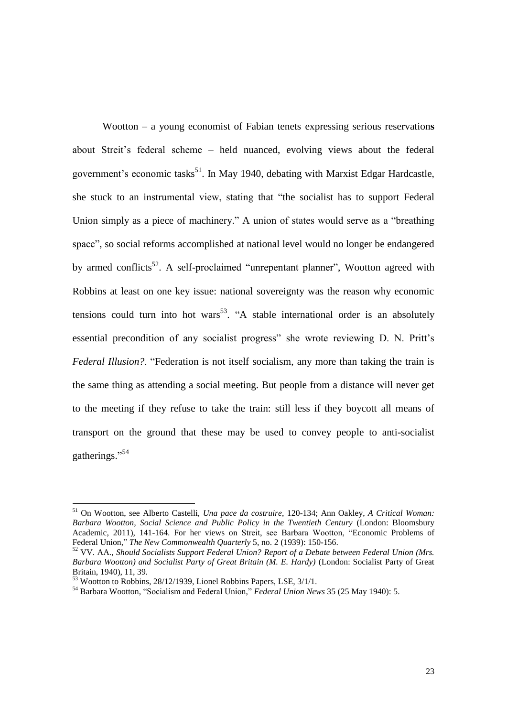Wootton – a young economist of Fabian tenets expressing serious reservation**s** about Streit's federal scheme – held nuanced, evolving views about the federal government's economic tasks<sup>51</sup>. In May 1940, debating with Marxist Edgar Hardcastle, she stuck to an instrumental view, stating that "the socialist has to support Federal Union simply as a piece of machinery." A union of states would serve as a "breathing space", so social reforms accomplished at national level would no longer be endangered by armed conflicts<sup>52</sup>. A self-proclaimed "unrepentant planner", Wootton agreed with Robbins at least on one key issue: national sovereignty was the reason why economic tensions could turn into hot wars<sup>53</sup>. "A stable international order is an absolutely essential precondition of any socialist progress" she wrote reviewing D. N. Pritt's *Federal Illusion?*. "Federation is not itself socialism, any more than taking the train is the same thing as attending a social meeting. But people from a distance will never get to the meeting if they refuse to take the train: still less if they boycott all means of transport on the ground that these may be used to convey people to anti-socialist gatherings." 54

<sup>51</sup> On Wootton, see Alberto Castelli, *Una pace da costruire*, 120-134; Ann Oakley, *A Critical Woman: Barbara Wootton, Social Science and Public Policy in the Twentieth Century* (London: Bloomsbury Academic, 2011), 141-164. For her views on Streit, see Barbara Wootton, "Economic Problems of Federal Union," *The New Commonwealth Quarterly* 5, no. 2 (1939): 150-156.

<sup>52</sup> VV. AA., *Should Socialists Support Federal Union? Report of a Debate between Federal Union (Mrs. Barbara Wootton) and Socialist Party of Great Britain (M. E. Hardy)* (London: Socialist Party of Great Britain, 1940), 11, 39.

<sup>53</sup> Wootton to Robbins, 28/12/1939, Lionel Robbins Papers, LSE, 3/1/1.

<sup>54</sup> Barbara Wootton, "Socialism and Federal Union," *Federal Union News* 35 (25 May 1940): 5.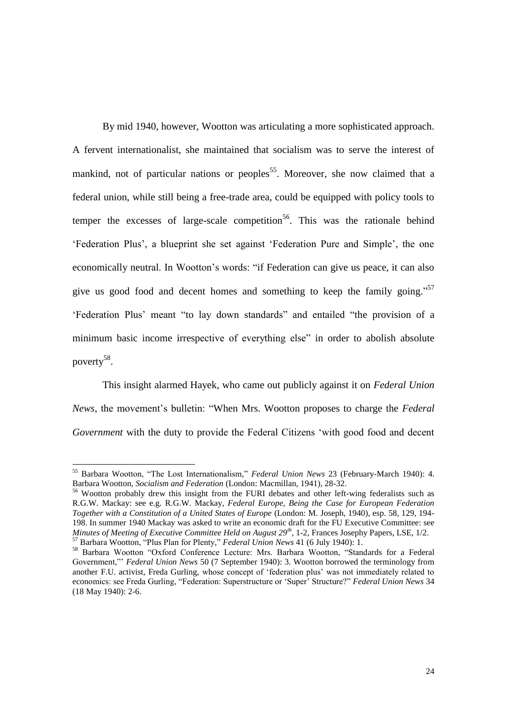By mid 1940, however, Wootton was articulating a more sophisticated approach. A fervent internationalist, she maintained that socialism was to serve the interest of mankind, not of particular nations or peoples<sup>55</sup>. Moreover, she now claimed that a federal union, while still being a free-trade area, could be equipped with policy tools to temper the excesses of large-scale competition<sup>56</sup>. This was the rationale behind 'Federation Plus', a blueprint she set against 'Federation Pure and Simple', the one economically neutral. In Wootton's words: "if Federation can give us peace, it can also give us good food and decent homes and something to keep the family going."<sup>57</sup> 'Federation Plus' meant "to lay down standards" and entailed "the provision of a minimum basic income irrespective of everything else" in order to abolish absolute poverty<sup>58</sup>.

This insight alarmed Hayek, who came out publicly against it on *Federal Union News*, the movement's bulletin: "When Mrs. Wootton proposes to charge the *Federal Government* with the duty to provide the Federal Citizens 'with good food and decent

<sup>55</sup> Barbara Wootton, "The Lost Internationalism," *Federal Union News* 23 (February-March 1940): 4. Barbara Wootton, *Socialism and Federation* (London: Macmillan, 1941), 28-32.

<sup>&</sup>lt;sup>56</sup> Wootton probably drew this insight from the FURI debates and other left-wing federalists such as R.G.W. Mackay: see e.g. R.G.W. Mackay, *Federal Europe, Being the Case for European Federation Together with a Constitution of a United States of Europe* (London: M. Joseph, 1940), esp. 58, 129, 194- 198. In summer 1940 Mackay was asked to write an economic draft for the FU Executive Committee: see *Minutes of Meeting of Executive Committee Held on August 29th*, 1-2, Frances Josephy Papers, LSE, 1/2. <sup>57</sup> Barbara Wootton, "Plus Plan for Plenty," *Federal Union News* 41 (6 July 1940): 1.

<sup>58</sup> Barbara Wootton "Oxford Conference Lecture: Mrs. Barbara Wootton, "Standards for a Federal Government,"' *Federal Union News* 50 (7 September 1940): 3. Wootton borrowed the terminology from another F.U. activist, Freda Gurling, whose concept of 'federation plus' was not immediately related to economics: see Freda Gurling, "Federation: Superstructure or 'Super' Structure?" *Federal Union News* 34 (18 May 1940): 2-6.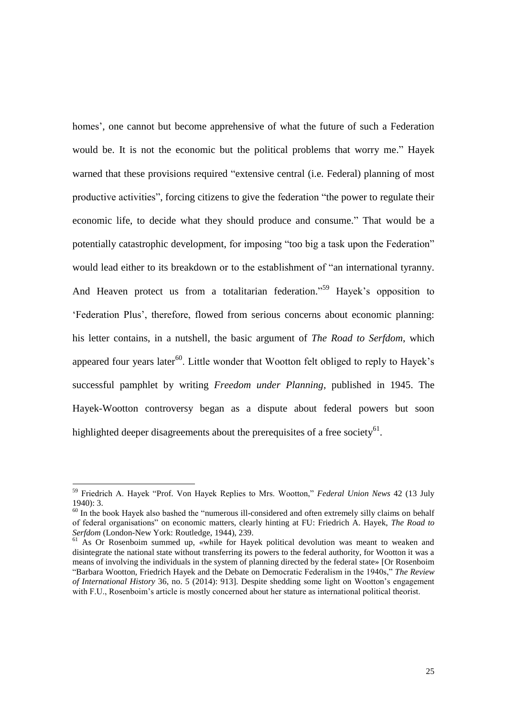homes', one cannot but become apprehensive of what the future of such a Federation would be. It is not the economic but the political problems that worry me." Hayek warned that these provisions required "extensive central (i.e. Federal) planning of most productive activities", forcing citizens to give the federation "the power to regulate their economic life, to decide what they should produce and consume." That would be a potentially catastrophic development, for imposing "too big a task upon the Federation" would lead either to its breakdown or to the establishment of "an international tyranny. And Heaven protect us from a totalitarian federation."<sup>59</sup> Hayek's opposition to 'Federation Plus', therefore, flowed from serious concerns about economic planning: his letter contains, in a nutshell, the basic argument of *The Road to Serfdom*, which appeared four years later<sup>60</sup>. Little wonder that Wootton felt obliged to reply to Hayek's successful pamphlet by writing *Freedom under Planning*, published in 1945. The Hayek-Wootton controversy began as a dispute about federal powers but soon highlighted deeper disagreements about the prerequisites of a free society<sup>61</sup>.

<sup>59</sup> Friedrich A. Hayek "Prof. Von Hayek Replies to Mrs. Wootton," *Federal Union News* 42 (13 July 1940): 3.

<sup>&</sup>lt;sup>60</sup> In the book Hayek also bashed the "numerous ill-considered and often extremely silly claims on behalf of federal organisations" on economic matters, clearly hinting at FU: Friedrich A. Hayek, *The Road to Serfdom* (London-New York: Routledge, 1944), 239.

<sup>&</sup>lt;sup>61</sup> As Or Rosenboim summed up, «while for Hayek political devolution was meant to weaken and disintegrate the national state without transferring its powers to the federal authority, for Wootton it was a means of involving the individuals in the system of planning directed by the federal state» [Or Rosenboim "Barbara Wootton, Friedrich Hayek and the Debate on Democratic Federalism in the 1940s," *The Review of International History* 36, no. 5 (2014): 913]. Despite shedding some light on Wootton's engagement with F.U., Rosenboim's article is mostly concerned about her stature as international political theorist.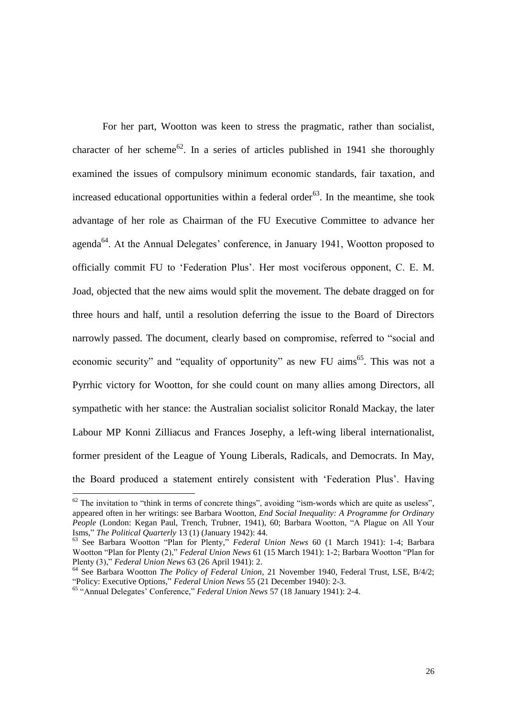For her part, Wootton was keen to stress the pragmatic, rather than socialist, character of her scheme<sup>62</sup>. In a series of articles published in 1941 she thoroughly examined the issues of compulsory minimum economic standards, fair taxation, and increased educational opportunities within a federal order<sup>63</sup>. In the meantime, she took advantage of her role as Chairman of the FU Executive Committee to advance her agenda<sup>64</sup>. At the Annual Delegates' conference, in January 1941, Wootton proposed to officially commit FU to 'Federation Plus'. Her most vociferous opponent, C. E. M. Joad, objected that the new aims would split the movement. The debate dragged on for three hours and half, until a resolution deferring the issue to the Board of Directors narrowly passed. The document, clearly based on compromise, referred to "social and economic security" and "equality of opportunity" as new FU aims<sup>65</sup>. This was not a Pyrrhic victory for Wootton, for she could count on many allies among Directors, all sympathetic with her stance: the Australian socialist solicitor Ronald Mackay, the later Labour MP Konni Zilliacus and Frances Josephy, a left-wing liberal internationalist, former president of the League of Young Liberals, Radicals, and Democrats. In May, the Board produced a statement entirely consistent with 'Federation Plus'. Having

 $62$  The invitation to "think in terms of concrete things", avoiding "ism-words which are quite as useless", appeared often in her writings: see Barbara Wootton, *End Social Inequality: A Programme for Ordinary People* (London: Kegan Paul, Trench, Trubner, 1941), 60; Barbara Wootton, "A Plague on All Your Isms," *The Political Quarterly* 13 (1) (January 1942): 44.

<sup>63</sup> See Barbara Wootton "Plan for Plenty," *Federal Union News* 60 (1 March 1941): 1-4; Barbara Wootton "Plan for Plenty (2)," *Federal Union News* 61 (15 March 1941): 1-2; Barbara Wootton "Plan for Plenty (3)," *Federal Union News* 63 (26 April 1941): 2.

<sup>64</sup> See Barbara Wootton *The Policy of Federal Union*, 21 November 1940, Federal Trust, LSE, B/4/2; "Policy: Executive Options," *Federal Union News* 55 (21 December 1940): 2-3.

<sup>65</sup> "Annual Delegates' Conference," *Federal Union News* 57 (18 January 1941): 2-4.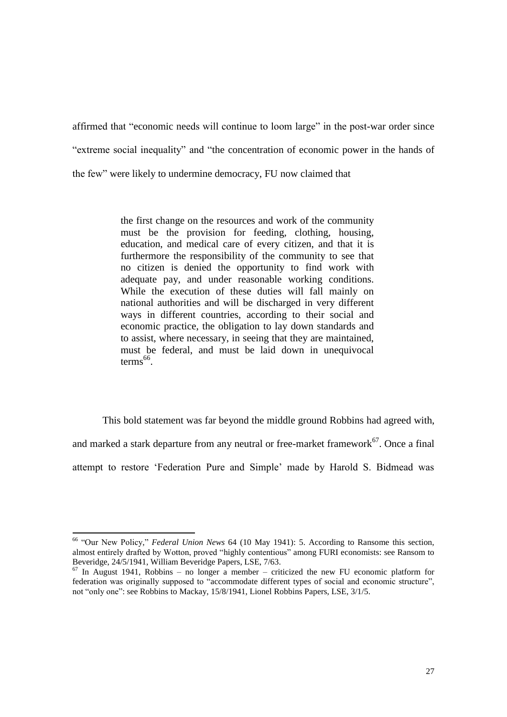affirmed that "economic needs will continue to loom large" in the post-war order since "extreme social inequality" and "the concentration of economic power in the hands of the few" were likely to undermine democracy, FU now claimed that

> the first change on the resources and work of the community must be the provision for feeding, clothing, housing, education, and medical care of every citizen, and that it is furthermore the responsibility of the community to see that no citizen is denied the opportunity to find work with adequate pay, and under reasonable working conditions. While the execution of these duties will fall mainly on national authorities and will be discharged in very different ways in different countries, according to their social and economic practice, the obligation to lay down standards and to assist, where necessary, in seeing that they are maintained, must be federal, and must be laid down in unequivocal  $terms<sup>66</sup>$ .

This bold statement was far beyond the middle ground Robbins had agreed with, and marked a stark departure from any neutral or free-market framework $67$ . Once a final attempt to restore 'Federation Pure and Simple' made by Harold S. Bidmead was

<sup>66</sup> "Our New Policy," *Federal Union News* 64 (10 May 1941): 5. According to Ransome this section, almost entirely drafted by Wotton, proved "highly contentious" among FURI economists: see Ransom to Beveridge, 24/5/1941, William Beveridge Papers, LSE, 7/63.

 $67$  In August 1941, Robbins – no longer a member – criticized the new FU economic platform for federation was originally supposed to "accommodate different types of social and economic structure", not "only one": see Robbins to Mackay, 15/8/1941, Lionel Robbins Papers, LSE, 3/1/5.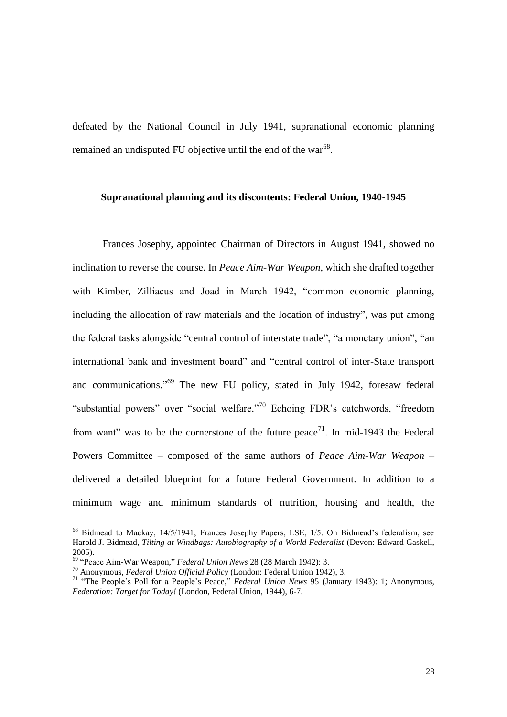defeated by the National Council in July 1941, supranational economic planning remained an undisputed FU objective until the end of the war<sup>68</sup>.

#### **Supranational planning and its discontents: Federal Union, 1940-1945**

Frances Josephy, appointed Chairman of Directors in August 1941, showed no inclination to reverse the course. In *Peace Aim-War Weapon*, which she drafted together with Kimber, Zilliacus and Joad in March 1942, "common economic planning, including the allocation of raw materials and the location of industry", was put among the federal tasks alongside "central control of interstate trade", "a monetary union", "an international bank and investment board" and "central control of inter-State transport and communications."<sup>69</sup> The new FU policy, stated in July 1942, foresaw federal "substantial powers" over "social welfare."<sup>70</sup> Echoing FDR's catchwords, "freedom from want" was to be the cornerstone of the future peace<sup>71</sup>. In mid-1943 the Federal Powers Committee – composed of the same authors of *Peace Aim-War Weapon* – delivered a detailed blueprint for a future Federal Government. In addition to a minimum wage and minimum standards of nutrition, housing and health, the

<sup>&</sup>lt;sup>68</sup> Bidmead to Mackay, 14/5/1941, Frances Josephy Papers, LSE, 1/5. On Bidmead's federalism, see Harold J. Bidmead, *Tilting at Windbags: Autobiography of a World Federalist* (Devon: Edward Gaskell, 2005).

<sup>69</sup> "Peace Aim-War Weapon," *Federal Union News* 28 (28 March 1942): 3.

<sup>70</sup> Anonymous, *Federal Union Official Policy* (London: Federal Union 1942), 3.

<sup>71</sup> "The People's Poll for a People's Peace," *Federal Union News* 95 (January 1943): 1; Anonymous, *Federation: Target for Today!* (London, Federal Union, 1944), 6-7.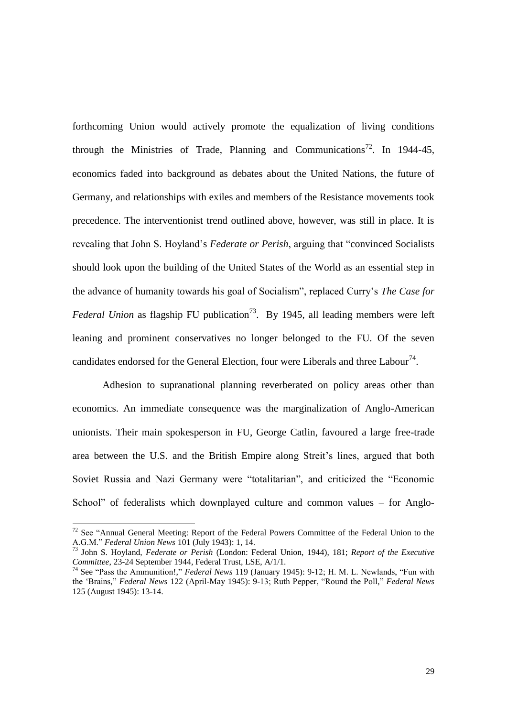forthcoming Union would actively promote the equalization of living conditions through the Ministries of Trade, Planning and Communications<sup>72</sup>. In 1944-45, economics faded into background as debates about the United Nations, the future of Germany, and relationships with exiles and members of the Resistance movements took precedence. The interventionist trend outlined above, however, was still in place. It is revealing that John S. Hoyland's *Federate or Perish*, arguing that "convinced Socialists should look upon the building of the United States of the World as an essential step in the advance of humanity towards his goal of Socialism", replaced Curry's *The Case for Federal Union* as flagship FU publication<sup>73</sup>. By 1945, all leading members were left leaning and prominent conservatives no longer belonged to the FU. Of the seven candidates endorsed for the General Election, four were Liberals and three Labour<sup>74</sup>.

Adhesion to supranational planning reverberated on policy areas other than economics. An immediate consequence was the marginalization of Anglo-American unionists. Their main spokesperson in FU, George Catlin, favoured a large free-trade area between the U.S. and the British Empire along Streit's lines, argued that both Soviet Russia and Nazi Germany were "totalitarian", and criticized the "Economic School" of federalists which downplayed culture and common values – for Anglo-

<sup>&</sup>lt;sup>72</sup> See "Annual General Meeting: Report of the Federal Powers Committee of the Federal Union to the A.G.M." *Federal Union News* 101 (July 1943): 1, 14.

<sup>73</sup> John S. Hoyland, *Federate or Perish* (London: Federal Union, 1944), 181; *Report of the Executive Committee*, 23-24 September 1944, Federal Trust, LSE, A/1/1.

<sup>74</sup> See "Pass the Ammunition!," *Federal News* 119 (January 1945): 9-12; H. M. L. Newlands, "Fun with the 'Brains," *Federal News* 122 (April-May 1945): 9-13; Ruth Pepper, "Round the Poll," *Federal News* 125 (August 1945): 13-14.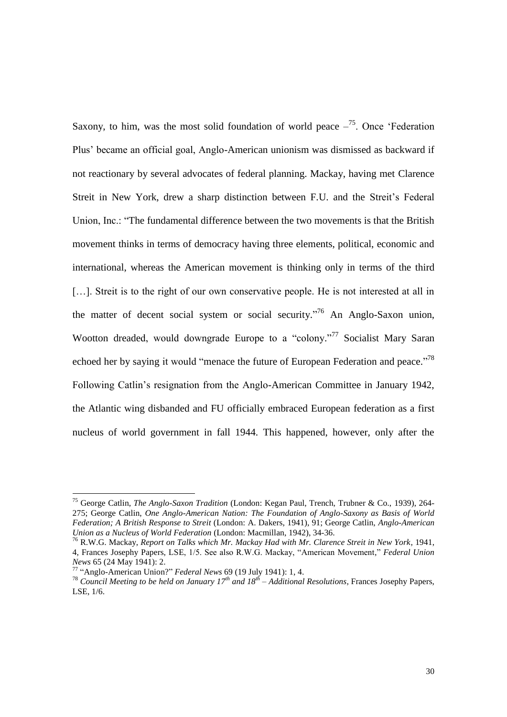Saxony, to him, was the most solid foundation of world peace  $-$ <sup>75</sup>. Once 'Federation Plus' became an official goal, Anglo-American unionism was dismissed as backward if not reactionary by several advocates of federal planning. Mackay, having met Clarence Streit in New York, drew a sharp distinction between F.U. and the Streit's Federal Union, Inc.: "The fundamental difference between the two movements is that the British movement thinks in terms of democracy having three elements, political, economic and international, whereas the American movement is thinking only in terms of the third [...]. Streit is to the right of our own conservative people. He is not interested at all in the matter of decent social system or social security."<sup>76</sup> An Anglo-Saxon union, Wootton dreaded, would downgrade Europe to a "colony."<sup>77</sup> Socialist Mary Saran echoed her by saying it would "menace the future of European Federation and peace."<sup>78</sup> Following Catlin's resignation from the Anglo-American Committee in January 1942, the Atlantic wing disbanded and FU officially embraced European federation as a first nucleus of world government in fall 1944. This happened, however, only after the

<sup>75</sup> George Catlin, *The Anglo-Saxon Tradition* (London: Kegan Paul, Trench, Trubner & Co., 1939), 264- 275; George Catlin, *One Anglo-American Nation: The Foundation of Anglo-Saxony as Basis of World Federation; A British Response to Streit* (London: A. Dakers, 1941), 91; George Catlin, *Anglo-American Union as a Nucleus of World Federation* (London: Macmillan, 1942), 34-36.

<sup>76</sup> R.W.G. Mackay, *Report on Talks which Mr. Mackay Had with Mr. Clarence Streit in New York*, 1941, 4, Frances Josephy Papers, LSE, 1/5. See also R.W.G. Mackay, "American Movement," *Federal Union News* 65 (24 May 1941): 2.

<sup>77</sup> "Anglo-American Union?" *Federal News* 69 (19 July 1941): 1, 4.

<sup>78</sup> *Council Meeting to be held on January 17th and 18th – Additional Resolutions*, Frances Josephy Papers, LSE, 1/6.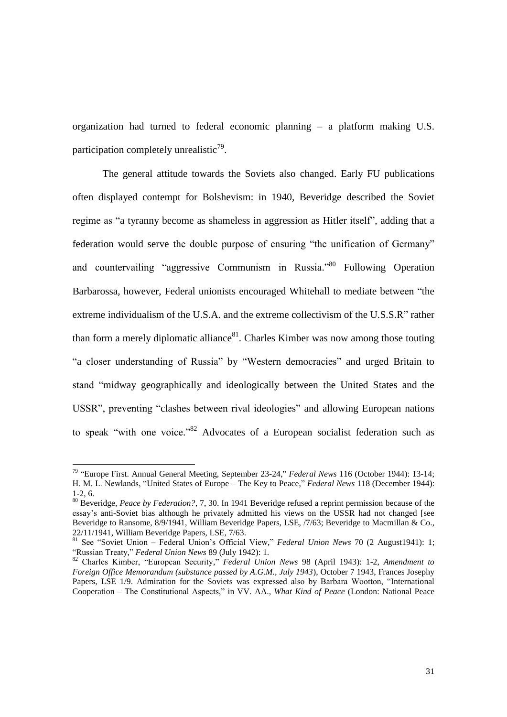organization had turned to federal economic planning – a platform making U.S. participation completely unrealistic<sup>79</sup>.

The general attitude towards the Soviets also changed. Early FU publications often displayed contempt for Bolshevism: in 1940, Beveridge described the Soviet regime as "a tyranny become as shameless in aggression as Hitler itself", adding that a federation would serve the double purpose of ensuring "the unification of Germany" and countervailing "aggressive Communism in Russia."<sup>80</sup> Following Operation Barbarossa, however, Federal unionists encouraged Whitehall to mediate between "the extreme individualism of the U.S.A. and the extreme collectivism of the U.S.S.R" rather than form a merely diplomatic alliance $81$ . Charles Kimber was now among those touting "a closer understanding of Russia" by "Western democracies" and urged Britain to stand "midway geographically and ideologically between the United States and the USSR", preventing "clashes between rival ideologies" and allowing European nations to speak "with one voice."<sup>82</sup> Advocates of a European socialist federation such as

<sup>79</sup> "Europe First. Annual General Meeting, September 23-24," *Federal News* 116 (October 1944): 13-14; H. M. L. Newlands, "United States of Europe – The Key to Peace," *Federal News* 118 (December 1944): 1-2, 6.

<sup>80</sup> Beveridge, *Peace by Federation?*, 7, 30. In 1941 Beveridge refused a reprint permission because of the essay's anti-Soviet bias although he privately admitted his views on the USSR had not changed [see Beveridge to Ransome, 8/9/1941, William Beveridge Papers, LSE, /7/63; Beveridge to Macmillan & Co., 22/11/1941, William Beveridge Papers, LSE, 7/63.

<sup>81</sup> See "Soviet Union – Federal Union's Official View," *Federal Union News* 70 (2 August1941): 1; "Russian Treaty," *Federal Union News* 89 (July 1942): 1.

<sup>82</sup> Charles Kimber, "European Security," *Federal Union News* 98 (April 1943): 1-2, *Amendment to Foreign Office Memorandum (substance passed by A.G.M., July 1943*), October 7 1943, Frances Josephy Papers, LSE 1/9. Admiration for the Soviets was expressed also by Barbara Wootton, "International Cooperation – The Constitutional Aspects," in VV. AA., *What Kind of Peace* (London: National Peace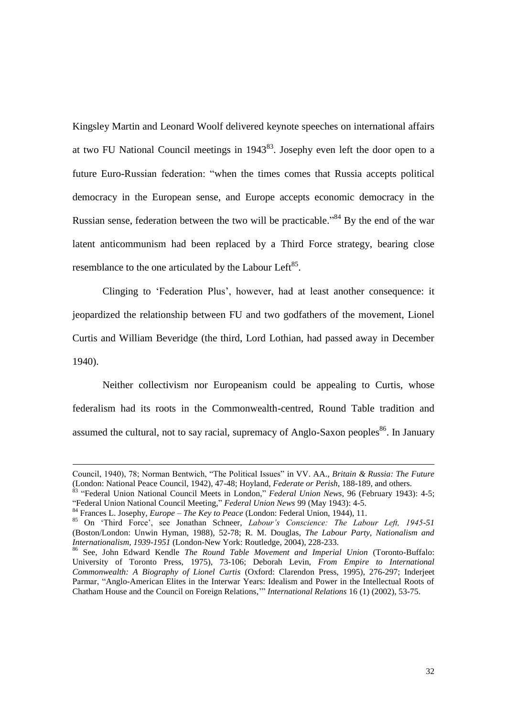Kingsley Martin and Leonard Woolf delivered keynote speeches on international affairs at two FU National Council meetings in  $1943^{83}$ . Josephy even left the door open to a future Euro-Russian federation: "when the times comes that Russia accepts political democracy in the European sense, and Europe accepts economic democracy in the Russian sense, federation between the two will be practicable."<sup>84</sup> By the end of the war latent anticommunism had been replaced by a Third Force strategy, bearing close resemblance to the one articulated by the Labour Left<sup>85</sup>.

Clinging to 'Federation Plus', however, had at least another consequence: it jeopardized the relationship between FU and two godfathers of the movement, Lionel Curtis and William Beveridge (the third, Lord Lothian, had passed away in December 1940).

Neither collectivism nor Europeanism could be appealing to Curtis, whose federalism had its roots in the Commonwealth-centred, Round Table tradition and assumed the cultural, not to say racial, supremacy of Anglo-Saxon peoples<sup>86</sup>. In January

Council, 1940), 78; Norman Bentwich, "The Political Issues" in VV. AA., *Britain & Russia: The Future*  (London: National Peace Council, 1942), 47-48; Hoyland, *Federate or Perish*, 188-189, and others.

<sup>83</sup> "Federal Union National Council Meets in London," *Federal Union News*, 96 (February 1943): 4-5; "Federal Union National Council Meeting," *Federal Union News* 99 (May 1943): 4-5.

<sup>84</sup> Frances L. Josephy, *Europe – The Key to Peace* (London: Federal Union, 1944), 11.

<sup>85</sup> On 'Third Force', see Jonathan Schneer, *Labour's Conscience: The Labour Left, 1945-51*  (Boston/London: Unwin Hyman, 1988), 52-78; R. M. Douglas, *The Labour Party, Nationalism and Internationalism, 1939-1951* (London-New York: Routledge, 2004), 228-233.

<sup>86</sup> See, John Edward Kendle *The Round Table Movement and Imperial Union* (Toronto-Buffalo: University of Toronto Press, 1975), 73-106; Deborah Levin, *From Empire to International Commonwealth: A Biography of Lionel Curtis* (Oxford: Clarendon Press, 1995), 276-297; Inderjeet Parmar, "Anglo-American Elites in the Interwar Years: Idealism and Power in the Intellectual Roots of Chatham House and the Council on Foreign Relations,'" *International Relations* 16 (1) (2002), 53-75.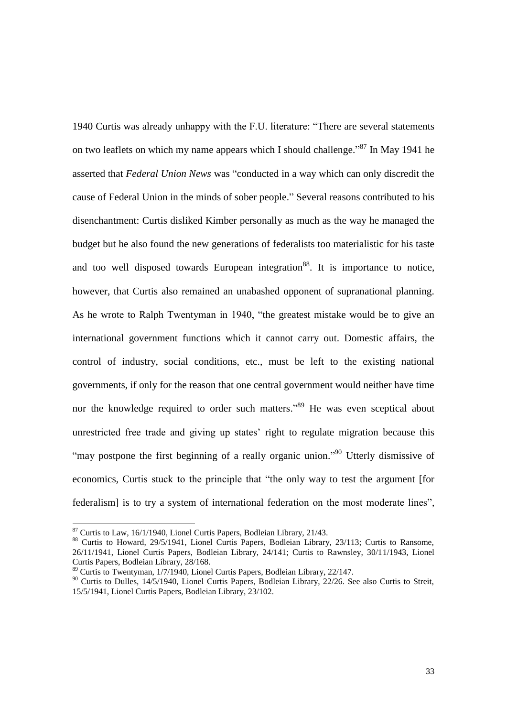1940 Curtis was already unhappy with the F.U. literature: "There are several statements on two leaflets on which my name appears which I should challenge."<sup>87</sup> In May 1941 he asserted that *Federal Union News* was "conducted in a way which can only discredit the cause of Federal Union in the minds of sober people." Several reasons contributed to his disenchantment: Curtis disliked Kimber personally as much as the way he managed the budget but he also found the new generations of federalists too materialistic for his taste and too well disposed towards European integration<sup>88</sup>. It is importance to notice, however, that Curtis also remained an unabashed opponent of supranational planning. As he wrote to Ralph Twentyman in 1940, "the greatest mistake would be to give an international government functions which it cannot carry out. Domestic affairs, the control of industry, social conditions, etc., must be left to the existing national governments, if only for the reason that one central government would neither have time nor the knowledge required to order such matters."<sup>89</sup> He was even sceptical about unrestricted free trade and giving up states' right to regulate migration because this "may postpone the first beginning of a really organic union."<sup>90</sup> Utterly dismissive of economics, Curtis stuck to the principle that "the only way to test the argument [for federalism] is to try a system of international federation on the most moderate lines",

 $87$  Curtis to Law, 16/1/1940, Lionel Curtis Papers, Bodleian Library, 21/43.

<sup>&</sup>lt;sup>88</sup> Curtis to Howard, 29/5/1941, Lionel Curtis Papers, Bodleian Library, 23/113; Curtis to Ransome, 26/11/1941, Lionel Curtis Papers, Bodleian Library, 24/141; Curtis to Rawnsley, 30/11/1943, Lionel Curtis Papers, Bodleian Library, 28/168.

<sup>89</sup> Curtis to Twentyman, 1/7/1940, Lionel Curtis Papers, Bodleian Library, 22/147.

<sup>&</sup>lt;sup>90</sup> Curtis to Dulles, 14/5/1940, Lionel Curtis Papers, Bodleian Library, 22/26. See also Curtis to Streit, 15/5/1941, Lionel Curtis Papers, Bodleian Library, 23/102.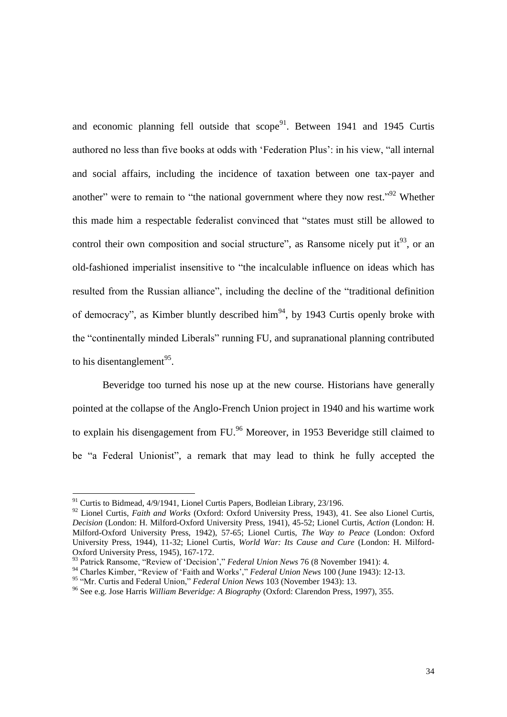and economic planning fell outside that  $score<sup>91</sup>$ . Between 1941 and 1945 Curtis authored no less than five books at odds with 'Federation Plus': in his view, "all internal and social affairs, including the incidence of taxation between one tax-payer and another" were to remain to "the national government where they now rest."<sup>92</sup> Whether this made him a respectable federalist convinced that "states must still be allowed to control their own composition and social structure", as Ransome nicely put it $93$ , or an old-fashioned imperialist insensitive to "the incalculable influence on ideas which has resulted from the Russian alliance", including the decline of the "traditional definition of democracy", as Kimber bluntly described him<sup>94</sup>, by 1943 Curtis openly broke with the "continentally minded Liberals" running FU, and supranational planning contributed to his disentanglement<sup>95</sup>.

Beveridge too turned his nose up at the new course. Historians have generally pointed at the collapse of the Anglo-French Union project in 1940 and his wartime work to explain his disengagement from FU.<sup>96</sup> Moreover, in 1953 Beveridge still claimed to be "a Federal Unionist", a remark that may lead to think he fully accepted the

<sup>&</sup>lt;sup>91</sup> Curtis to Bidmead, 4/9/1941, Lionel Curtis Papers, Bodleian Library, 23/196.

<sup>92</sup> Lionel Curtis, *Faith and Works* (Oxford: Oxford University Press, 1943), 41. See also Lionel Curtis, *Decision* (London: H. Milford-Oxford University Press, 1941), 45-52; Lionel Curtis, *Action* (London: H. Milford-Oxford University Press, 1942), 57-65; Lionel Curtis, *The Way to Peace* (London: Oxford University Press, 1944), 11-32; Lionel Curtis, *World War: Its Cause and Cure* (London: H. Milford-Oxford University Press, 1945), 167-172.

<sup>93</sup> Patrick Ransome, "Review of 'Decision'," *Federal Union News* 76 (8 November 1941): 4.

<sup>94</sup> Charles Kimber, "Review of 'Faith and Works'," *Federal Union News* 100 (June 1943): 12-13.

<sup>95</sup> "Mr. Curtis and Federal Union," *Federal Union News* 103 (November 1943): 13.

<sup>96</sup> See e.g. Jose Harris *William Beveridge: A Biography* (Oxford: Clarendon Press, 1997), 355.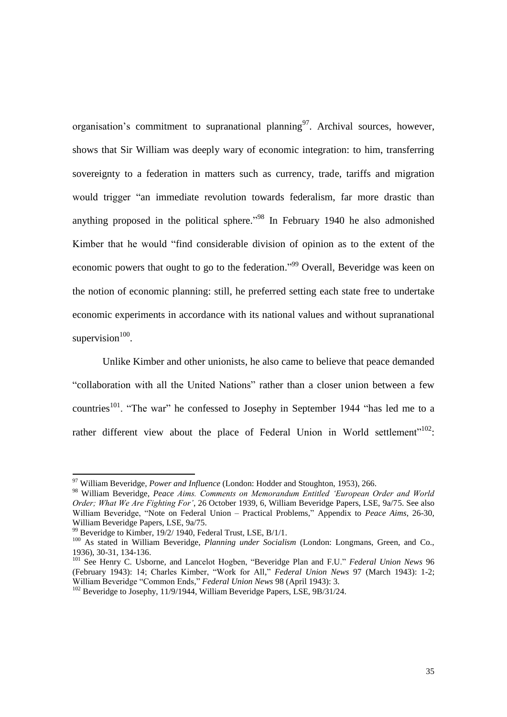organisation's commitment to supranational planning  $97$ . Archival sources, however, shows that Sir William was deeply wary of economic integration: to him, transferring sovereignty to a federation in matters such as currency, trade, tariffs and migration would trigger "an immediate revolution towards federalism, far more drastic than anything proposed in the political sphere.<sup> $.98$ </sup> In February 1940 he also admonished Kimber that he would "find considerable division of opinion as to the extent of the economic powers that ought to go to the federation."<sup>99</sup> Overall, Beveridge was keen on the notion of economic planning: still, he preferred setting each state free to undertake economic experiments in accordance with its national values and without supranational supervision $100$ .

Unlike Kimber and other unionists, he also came to believe that peace demanded "collaboration with all the United Nations" rather than a closer union between a few countries<sup>101</sup>. "The war" he confessed to Josephy in September 1944 "has led me to a rather different view about the place of Federal Union in World settlement"<sup>102</sup>:

<sup>97</sup> William Beveridge, *Power and Influence* (London: Hodder and Stoughton, 1953), 266.

<sup>98</sup> William Beveridge, *Peace Aims. Comments on Memorandum Entitled 'European Order and World Order; What We Are Fighting For'*, 26 October 1939, 6, William Beveridge Papers, LSE, 9a/75. See also William Beveridge, "Note on Federal Union – Practical Problems," Appendix to *Peace Aims*, 26-30, William Beveridge Papers, LSE, 9a/75.

 $99$  Beveridge to Kimber, 19/2/ 1940, Federal Trust, LSE, B/1/1.

<sup>100</sup> As stated in William Beveridge, *Planning under Socialism* (London: Longmans, Green, and Co., 1936), 30-31, 134-136.

<sup>101</sup> See Henry C. Usborne, and Lancelot Hogben, "Beveridge Plan and F.U." *Federal Union News* 96 (February 1943): 14; Charles Kimber, "Work for All," *Federal Union News* 97 (March 1943): 1-2; William Beveridge "Common Ends," *Federal Union News* 98 (April 1943): 3.

<sup>&</sup>lt;sup>102</sup> Beveridge to Josephy, 11/9/1944, William Beveridge Papers, LSE, 9B/31/24.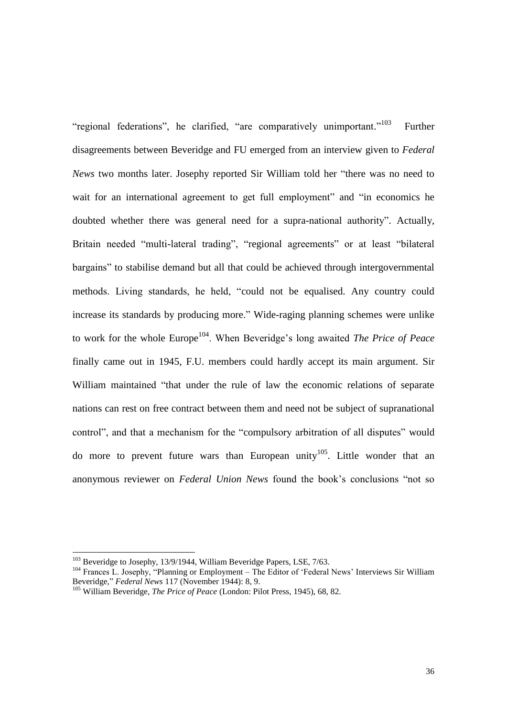"regional federations", he clarified, "are comparatively unimportant."<sup>103</sup> Further disagreements between Beveridge and FU emerged from an interview given to *Federal News* two months later. Josephy reported Sir William told her "there was no need to wait for an international agreement to get full employment" and "in economics he doubted whether there was general need for a supra-national authority". Actually, Britain needed "multi-lateral trading", "regional agreements" or at least "bilateral bargains" to stabilise demand but all that could be achieved through intergovernmental methods. Living standards, he held, "could not be equalised. Any country could increase its standards by producing more." Wide-raging planning schemes were unlike to work for the whole Europe<sup>104</sup>. When Beveridge's long awaited *The Price of Peace* finally came out in 1945, F.U. members could hardly accept its main argument. Sir William maintained "that under the rule of law the economic relations of separate nations can rest on free contract between them and need not be subject of supranational control", and that a mechanism for the "compulsory arbitration of all disputes" would do more to prevent future wars than European unity<sup>105</sup>. Little wonder that an anonymous reviewer on *Federal Union News* found the book's conclusions "not so

<sup>&</sup>lt;sup>103</sup> Beveridge to Josephy, 13/9/1944, William Beveridge Papers, LSE, 7/63.

<sup>&</sup>lt;sup>104</sup> Frances L. Josephy, "Planning or Employment – The Editor of 'Federal News' Interviews Sir William Beveridge," *Federal News* 117 (November 1944): 8, 9.

<sup>105</sup> William Beveridge, *The Price of Peace* (London: Pilot Press, 1945), 68, 82.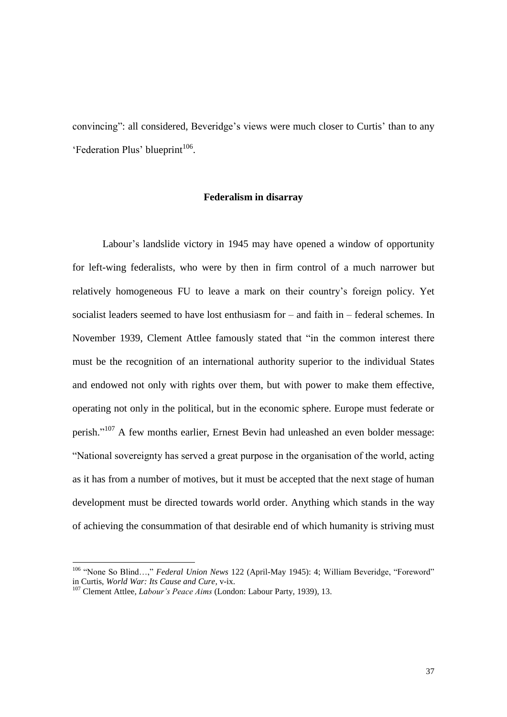convincing": all considered, Beveridge's views were much closer to Curtis' than to any 'Federation Plus' blueprint<sup>106</sup>.

#### **Federalism in disarray**

Labour's landslide victory in 1945 may have opened a window of opportunity for left-wing federalists, who were by then in firm control of a much narrower but relatively homogeneous FU to leave a mark on their country's foreign policy. Yet socialist leaders seemed to have lost enthusiasm for – and faith in – federal schemes. In November 1939, Clement Attlee famously stated that "in the common interest there must be the recognition of an international authority superior to the individual States and endowed not only with rights over them, but with power to make them effective, operating not only in the political, but in the economic sphere. Europe must federate or perish."<sup>107</sup> A few months earlier, Ernest Bevin had unleashed an even bolder message: "National sovereignty has served a great purpose in the organisation of the world, acting as it has from a number of motives, but it must be accepted that the next stage of human development must be directed towards world order. Anything which stands in the way of achieving the consummation of that desirable end of which humanity is striving must

<sup>106</sup> "None So Blind…," *Federal Union News* 122 (April-May 1945): 4; William Beveridge, "Foreword" in Curtis, *World War: Its Cause and Cure*, v-ix.

<sup>107</sup> Clement Attlee, *Labour's Peace Aims* (London: Labour Party, 1939), 13.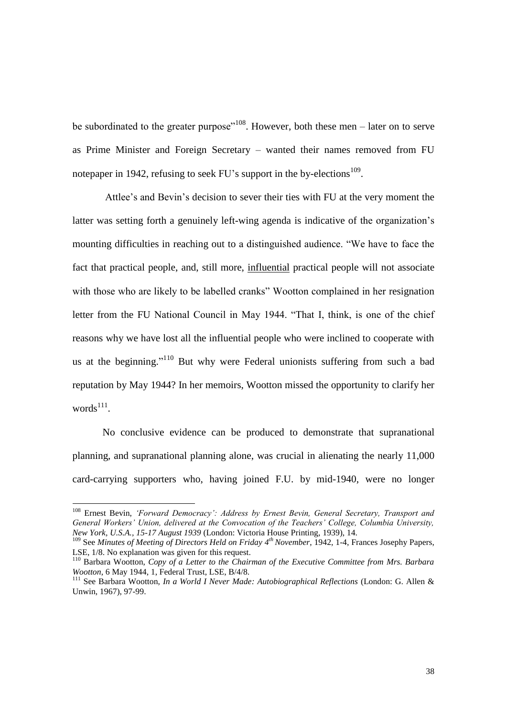be subordinated to the greater purpose<sup> $108$ </sup>. However, both these men – later on to serve as Prime Minister and Foreign Secretary – wanted their names removed from FU notepaper in 1942, refusing to seek FU's support in the by-elections  $109$ .

Attlee's and Bevin's decision to sever their ties with FU at the very moment the latter was setting forth a genuinely left-wing agenda is indicative of the organization's mounting difficulties in reaching out to a distinguished audience. "We have to face the fact that practical people, and, still more, influential practical people will not associate with those who are likely to be labelled cranks" Wootton complained in her resignation letter from the FU National Council in May 1944. "That I, think, is one of the chief reasons why we have lost all the influential people who were inclined to cooperate with us at the beginning."<sup>110</sup> But why were Federal unionists suffering from such a bad reputation by May 1944? In her memoirs, Wootton missed the opportunity to clarify her  $words<sup>111</sup>$ .

No conclusive evidence can be produced to demonstrate that supranational planning, and supranational planning alone, was crucial in alienating the nearly 11,000 card-carrying supporters who, having joined F.U. by mid-1940, were no longer

<sup>108</sup> Ernest Bevin, *'Forward Democracy': Address by Ernest Bevin, General Secretary, Transport and General Workers' Union, delivered at the Convocation of the Teachers' College, Columbia University, New York, U.S.A., 15-17 August 1939* (London: Victoria House Printing, 1939), 14.

<sup>109</sup> See *Minutes of Meeting of Directors Held on Friday 4th November*, 1942, 1-4, Frances Josephy Papers, LSE, 1/8. No explanation was given for this request.

<sup>110</sup> Barbara Wootton, *Copy of a Letter to the Chairman of the Executive Committee from Mrs. Barbara Wootton*, 6 May 1944, 1, Federal Trust, LSE, B/4/8.

<sup>111</sup> See Barbara Wootton, *In a World I Never Made: Autobiographical Reflections* (London: G. Allen & Unwin, 1967), 97-99.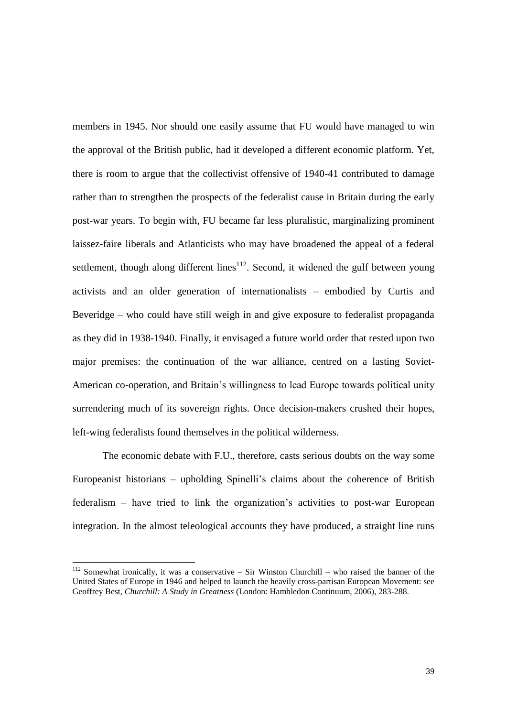members in 1945. Nor should one easily assume that FU would have managed to win the approval of the British public, had it developed a different economic platform. Yet, there is room to argue that the collectivist offensive of 1940-41 contributed to damage rather than to strengthen the prospects of the federalist cause in Britain during the early post-war years. To begin with, FU became far less pluralistic, marginalizing prominent laissez-faire liberals and Atlanticists who may have broadened the appeal of a federal settlement, though along different lines<sup>112</sup>. Second, it widened the gulf between young activists and an older generation of internationalists – embodied by Curtis and Beveridge – who could have still weigh in and give exposure to federalist propaganda as they did in 1938-1940. Finally, it envisaged a future world order that rested upon two major premises: the continuation of the war alliance, centred on a lasting Soviet-American co-operation, and Britain's willingness to lead Europe towards political unity surrendering much of its sovereign rights. Once decision-makers crushed their hopes, left-wing federalists found themselves in the political wilderness.

The economic debate with F.U., therefore, casts serious doubts on the way some Europeanist historians – upholding Spinelli's claims about the coherence of British federalism – have tried to link the organization's activities to post-war European integration. In the almost teleological accounts they have produced, a straight line runs

 $112$  Somewhat ironically, it was a conservative – Sir Winston Churchill – who raised the banner of the United States of Europe in 1946 and helped to launch the heavily cross-partisan European Movement: see Geoffrey Best, *Churchill: A Study in Greatness* (London: Hambledon Continuum, 2006), 283-288.